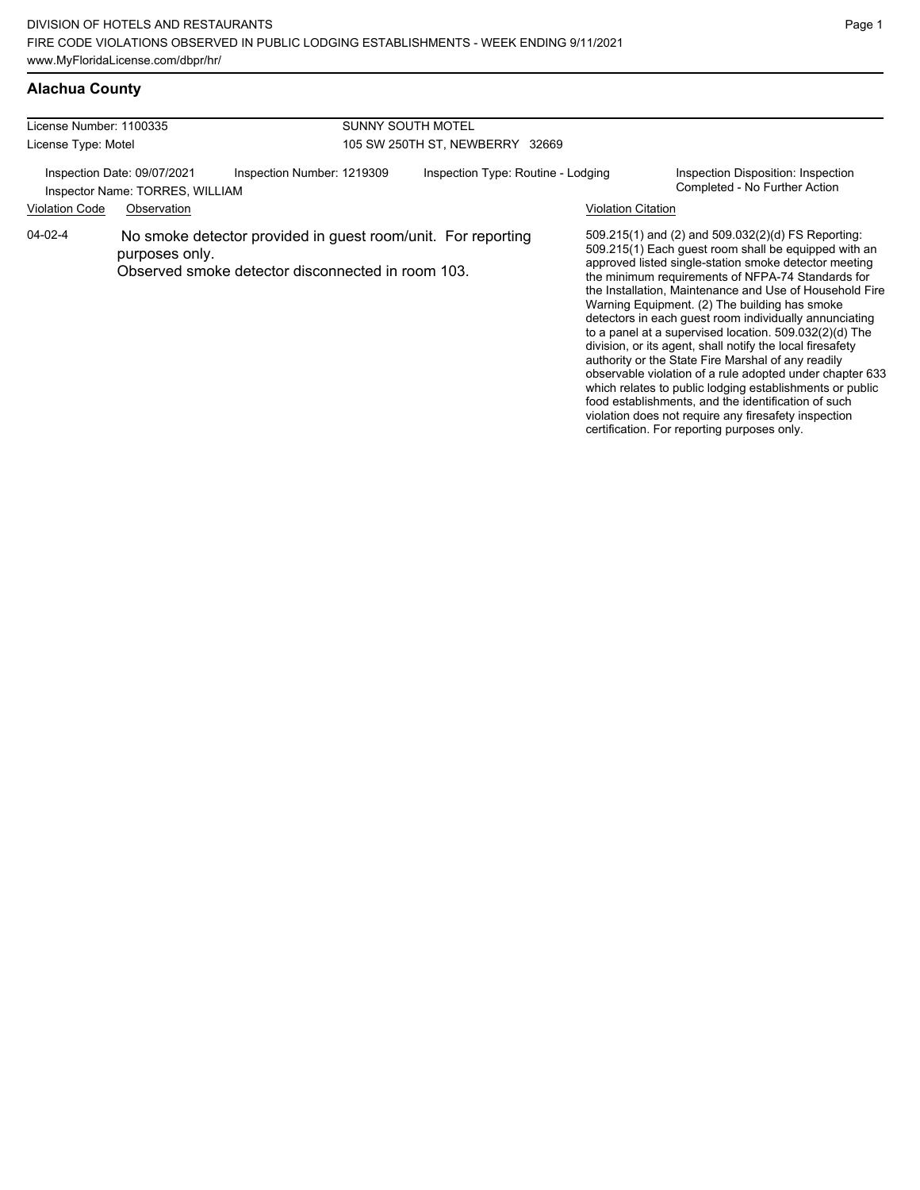| License Number: 1100335<br>License Type: Motel                 |                |                                                                                                                   | <b>SUNNY SOUTH MOTEL</b>           |                           |                                                                                                                                                                                                                                                                                                                                                                                                                                                                                                                                                                                                                                                                                                       |
|----------------------------------------------------------------|----------------|-------------------------------------------------------------------------------------------------------------------|------------------------------------|---------------------------|-------------------------------------------------------------------------------------------------------------------------------------------------------------------------------------------------------------------------------------------------------------------------------------------------------------------------------------------------------------------------------------------------------------------------------------------------------------------------------------------------------------------------------------------------------------------------------------------------------------------------------------------------------------------------------------------------------|
|                                                                |                |                                                                                                                   | 105 SW 250TH ST. NEWBERRY 32669    |                           |                                                                                                                                                                                                                                                                                                                                                                                                                                                                                                                                                                                                                                                                                                       |
| Inspection Date: 09/07/2021<br>Inspector Name: TORRES, WILLIAM |                | Inspection Number: 1219309                                                                                        | Inspection Type: Routine - Lodging |                           | Inspection Disposition: Inspection<br>Completed - No Further Action                                                                                                                                                                                                                                                                                                                                                                                                                                                                                                                                                                                                                                   |
| <b>Violation Code</b>                                          | Observation    |                                                                                                                   |                                    | <b>Violation Citation</b> |                                                                                                                                                                                                                                                                                                                                                                                                                                                                                                                                                                                                                                                                                                       |
| 04-02-4                                                        | purposes only. | No smoke detector provided in guest room/unit. For reporting<br>Observed smoke detector disconnected in room 103. |                                    |                           | 509.215(1) and (2) and 509.032(2)(d) FS Reporting:<br>509.215(1) Each guest room shall be equipped with an<br>approved listed single-station smoke detector meeting<br>the minimum requirements of NFPA-74 Standards for<br>the Installation, Maintenance and Use of Household Fire<br>Warning Equipment. (2) The building has smoke<br>detectors in each guest room individually annunciating<br>to a panel at a supervised location. $509.032(2)(d)$ The<br>division, or its agent, shall notify the local firesafety<br>authority or the State Fire Marshal of any readily<br>observable violation of a rule adopted under chapter 633<br>which relates to public lodging establishments or public |

Page 1

food establishments, and the identification of such violation does not require any firesafety inspection certification. For reporting purposes only.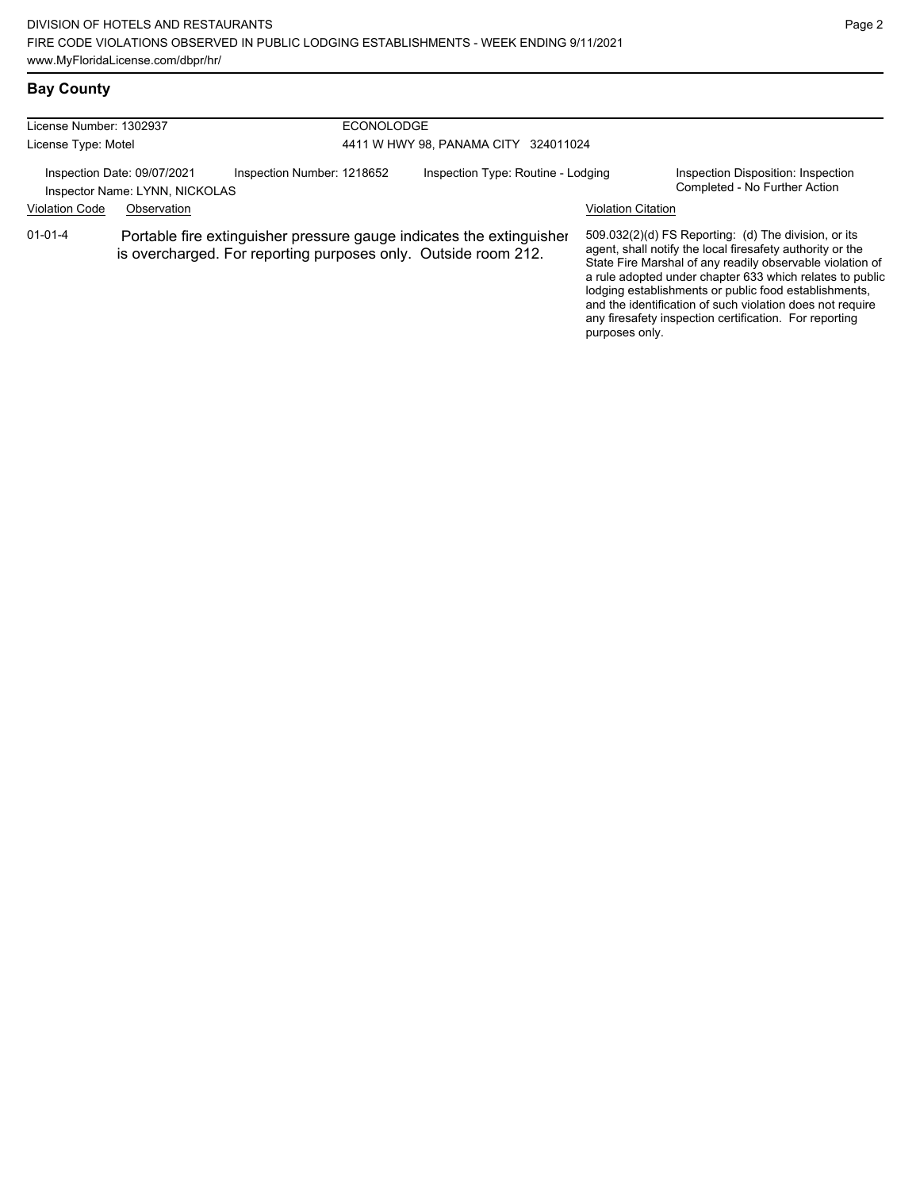## **Bay County**

| License Number: 1302937<br>License Type: Motel                |             |                                                                | <b>ECONOLODGE</b><br>4411 W HWY 98, PANAMA CITY 324011024 |                                                                      |                           |                                                                                                                                                                                                                                                                                                                                                                                                                            |  |
|---------------------------------------------------------------|-------------|----------------------------------------------------------------|-----------------------------------------------------------|----------------------------------------------------------------------|---------------------------|----------------------------------------------------------------------------------------------------------------------------------------------------------------------------------------------------------------------------------------------------------------------------------------------------------------------------------------------------------------------------------------------------------------------------|--|
| Inspection Date: 09/07/2021<br>Inspector Name: LYNN, NICKOLAS |             | Inspection Number: 1218652                                     |                                                           | Inspection Type: Routine - Lodging                                   |                           | Inspection Disposition: Inspection<br>Completed - No Further Action                                                                                                                                                                                                                                                                                                                                                        |  |
| <b>Violation Code</b>                                         | Observation |                                                                |                                                           |                                                                      | <b>Violation Citation</b> |                                                                                                                                                                                                                                                                                                                                                                                                                            |  |
| $01 - 01 - 4$                                                 |             | is overcharged. For reporting purposes only. Outside room 212. |                                                           | Portable fire extinguisher pressure gauge indicates the extinguisher | purposes only.            | 509.032(2)(d) FS Reporting: (d) The division, or its<br>agent, shall notify the local firesafety authority or the<br>State Fire Marshal of any readily observable violation of<br>a rule adopted under chapter 633 which relates to public<br>lodging establishments or public food establishments,<br>and the identification of such violation does not require<br>any firesafety inspection certification. For reporting |  |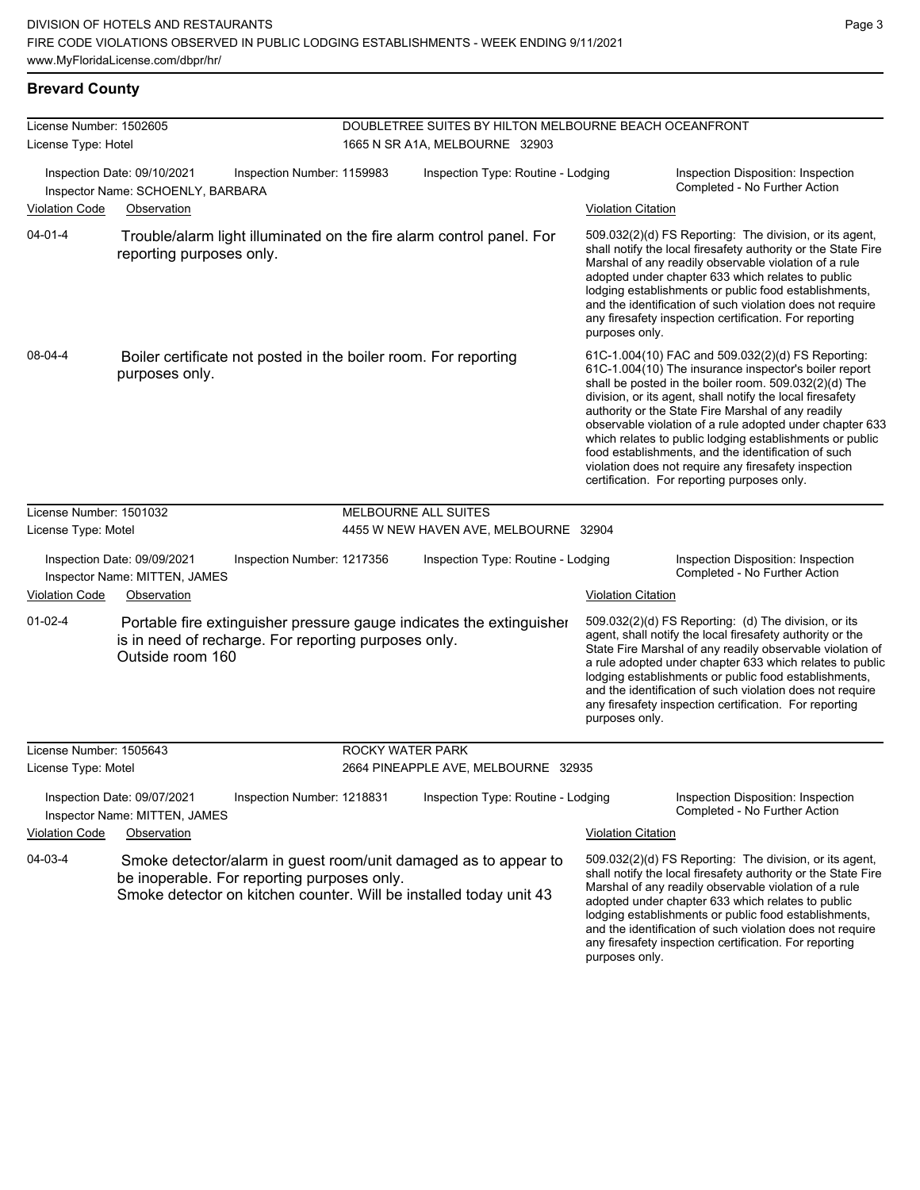### **Brevard County**

| License Number: 1502605 |                                                                  |                                                                                                                                                                                      | DOUBLETREE SUITES BY HILTON MELBOURNE BEACH OCEANFRONT |                           |                                                                                                                                                                                                                                                                                                                                                                                                                                                                                                                                                                              |
|-------------------------|------------------------------------------------------------------|--------------------------------------------------------------------------------------------------------------------------------------------------------------------------------------|--------------------------------------------------------|---------------------------|------------------------------------------------------------------------------------------------------------------------------------------------------------------------------------------------------------------------------------------------------------------------------------------------------------------------------------------------------------------------------------------------------------------------------------------------------------------------------------------------------------------------------------------------------------------------------|
| License Type: Hotel     |                                                                  |                                                                                                                                                                                      | 1665 N SR A1A, MELBOURNE 32903                         |                           |                                                                                                                                                                                                                                                                                                                                                                                                                                                                                                                                                                              |
|                         | Inspection Date: 09/10/2021<br>Inspector Name: SCHOENLY, BARBARA | Inspection Number: 1159983                                                                                                                                                           | Inspection Type: Routine - Lodging                     |                           | Inspection Disposition: Inspection<br>Completed - No Further Action                                                                                                                                                                                                                                                                                                                                                                                                                                                                                                          |
| Violation Code          | Observation                                                      |                                                                                                                                                                                      |                                                        | <b>Violation Citation</b> |                                                                                                                                                                                                                                                                                                                                                                                                                                                                                                                                                                              |
| $04 - 01 - 4$           | reporting purposes only.                                         | Trouble/alarm light illuminated on the fire alarm control panel. For                                                                                                                 |                                                        | purposes only.            | 509.032(2)(d) FS Reporting: The division, or its agent,<br>shall notify the local firesafety authority or the State Fire<br>Marshal of any readily observable violation of a rule<br>adopted under chapter 633 which relates to public<br>lodging establishments or public food establishments,<br>and the identification of such violation does not require<br>any firesafety inspection certification. For reporting                                                                                                                                                       |
| 08-04-4                 | purposes only.                                                   | Boiler certificate not posted in the boiler room. For reporting                                                                                                                      |                                                        |                           | 61C-1.004(10) FAC and 509.032(2)(d) FS Reporting:<br>61C-1.004(10) The insurance inspector's boiler report<br>shall be posted in the boiler room. 509.032(2)(d) The<br>division, or its agent, shall notify the local firesafety<br>authority or the State Fire Marshal of any readily<br>observable violation of a rule adopted under chapter 633<br>which relates to public lodging establishments or public<br>food establishments, and the identification of such<br>violation does not require any firesafety inspection<br>certification. For reporting purposes only. |
| License Number: 1501032 |                                                                  |                                                                                                                                                                                      | MELBOURNE ALL SUITES                                   |                           |                                                                                                                                                                                                                                                                                                                                                                                                                                                                                                                                                                              |
| License Type: Motel     |                                                                  |                                                                                                                                                                                      | 4455 W NEW HAVEN AVE, MELBOURNE 32904                  |                           |                                                                                                                                                                                                                                                                                                                                                                                                                                                                                                                                                                              |
|                         | Inspection Date: 09/09/2021<br>Inspector Name: MITTEN, JAMES     | Inspection Number: 1217356                                                                                                                                                           | Inspection Type: Routine - Lodging                     |                           | Inspection Disposition: Inspection<br>Completed - No Further Action                                                                                                                                                                                                                                                                                                                                                                                                                                                                                                          |
| <b>Violation Code</b>   | Observation                                                      |                                                                                                                                                                                      |                                                        | <b>Violation Citation</b> |                                                                                                                                                                                                                                                                                                                                                                                                                                                                                                                                                                              |
| $01 - 02 - 4$           | Outside room 160                                                 | Portable fire extinguisher pressure gauge indicates the extinguisher<br>is in need of recharge. For reporting purposes only.                                                         |                                                        | purposes only.            | 509.032(2)(d) FS Reporting: (d) The division, or its<br>agent, shall notify the local firesafety authority or the<br>State Fire Marshal of any readily observable violation of<br>a rule adopted under chapter 633 which relates to public<br>lodging establishments or public food establishments,<br>and the identification of such violation does not require<br>any firesafety inspection certification. For reporting                                                                                                                                                   |
| License Number: 1505643 |                                                                  | ROCKY WATER PARK                                                                                                                                                                     |                                                        |                           |                                                                                                                                                                                                                                                                                                                                                                                                                                                                                                                                                                              |
| License Type: Motel     |                                                                  |                                                                                                                                                                                      | 2664 PINEAPPLE AVE, MELBOURNE 32935                    |                           |                                                                                                                                                                                                                                                                                                                                                                                                                                                                                                                                                                              |
|                         | Inspection Date: 09/07/2021<br>Inspector Name: MITTEN, JAMES     | Inspection Number: 1218831                                                                                                                                                           | Inspection Type: Routine - Lodging                     |                           | Inspection Disposition: Inspection<br>Completed - No Further Action                                                                                                                                                                                                                                                                                                                                                                                                                                                                                                          |
| <b>Violation Code</b>   | Observation                                                      |                                                                                                                                                                                      |                                                        | <b>Violation Citation</b> |                                                                                                                                                                                                                                                                                                                                                                                                                                                                                                                                                                              |
| 04-03-4                 |                                                                  | Smoke detector/alarm in guest room/unit damaged as to appear to<br>be inoperable. For reporting purposes only.<br>Smoke detector on kitchen counter. Will be installed today unit 43 |                                                        | purposes only.            | 509.032(2)(d) FS Reporting: The division, or its agent,<br>shall notify the local firesafety authority or the State Fire<br>Marshal of any readily observable violation of a rule<br>adopted under chapter 633 which relates to public<br>lodging establishments or public food establishments,<br>and the identification of such violation does not require<br>any firesafety inspection certification. For reporting                                                                                                                                                       |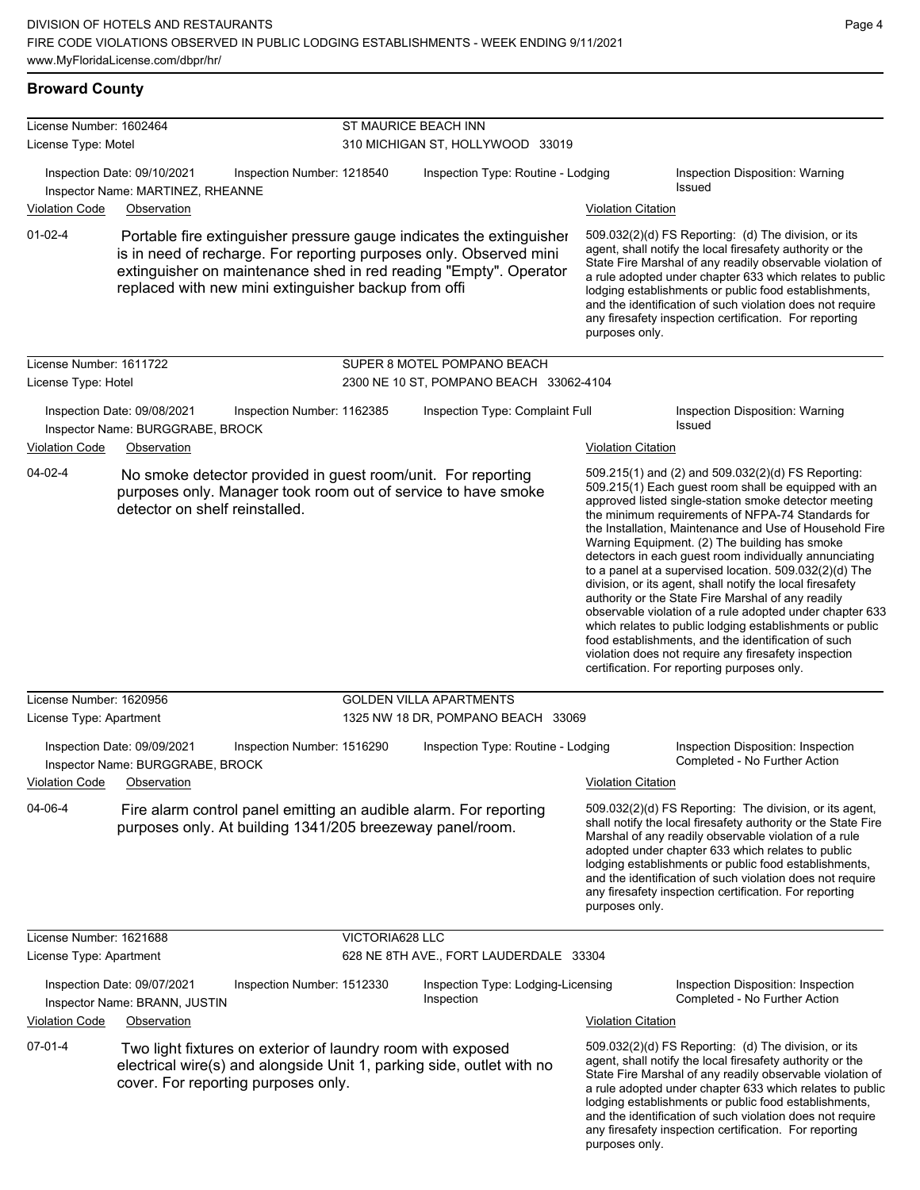#### **Broward County**

| License Number: 1602464                        |                                                                  |                                                                                                    |                                  | ST MAURICE BEACH INN                                                                                                                                                                                            |                           |                                                                                                                                                                                                                                                                                                                                                                                                                                                                                                                                                                                                                                                                                                                                                                                                                                                                   |  |
|------------------------------------------------|------------------------------------------------------------------|----------------------------------------------------------------------------------------------------|----------------------------------|-----------------------------------------------------------------------------------------------------------------------------------------------------------------------------------------------------------------|---------------------------|-------------------------------------------------------------------------------------------------------------------------------------------------------------------------------------------------------------------------------------------------------------------------------------------------------------------------------------------------------------------------------------------------------------------------------------------------------------------------------------------------------------------------------------------------------------------------------------------------------------------------------------------------------------------------------------------------------------------------------------------------------------------------------------------------------------------------------------------------------------------|--|
| License Type: Motel                            |                                                                  |                                                                                                    | 310 MICHIGAN ST, HOLLYWOOD 33019 |                                                                                                                                                                                                                 |                           |                                                                                                                                                                                                                                                                                                                                                                                                                                                                                                                                                                                                                                                                                                                                                                                                                                                                   |  |
|                                                | Inspection Date: 09/10/2021<br>Inspector Name: MARTINEZ, RHEANNE | Inspection Number: 1218540                                                                         |                                  | Inspection Type: Routine - Lodging                                                                                                                                                                              |                           | Inspection Disposition: Warning<br>Issued                                                                                                                                                                                                                                                                                                                                                                                                                                                                                                                                                                                                                                                                                                                                                                                                                         |  |
| <b>Violation Code</b>                          | Observation                                                      |                                                                                                    |                                  |                                                                                                                                                                                                                 | <b>Violation Citation</b> |                                                                                                                                                                                                                                                                                                                                                                                                                                                                                                                                                                                                                                                                                                                                                                                                                                                                   |  |
| $01-02-4$                                      |                                                                  | replaced with new mini extinguisher backup from offi                                               |                                  | Portable fire extinguisher pressure gauge indicates the extinguisher<br>is in need of recharge. For reporting purposes only. Observed mini<br>extinguisher on maintenance shed in red reading "Empty". Operator | purposes only.            | 509.032(2)(d) FS Reporting: (d) The division, or its<br>agent, shall notify the local firesafety authority or the<br>State Fire Marshal of any readily observable violation of<br>a rule adopted under chapter 633 which relates to public<br>lodging establishments or public food establishments,<br>and the identification of such violation does not require<br>any firesafety inspection certification. For reporting                                                                                                                                                                                                                                                                                                                                                                                                                                        |  |
| License Number: 1611722<br>License Type: Hotel |                                                                  |                                                                                                    |                                  | SUPER 8 MOTEL POMPANO BEACH<br>2300 NE 10 ST, POMPANO BEACH 33062-4104                                                                                                                                          |                           |                                                                                                                                                                                                                                                                                                                                                                                                                                                                                                                                                                                                                                                                                                                                                                                                                                                                   |  |
|                                                | Inspection Date: 09/08/2021<br>Inspector Name: BURGGRABE, BROCK  | Inspection Number: 1162385                                                                         |                                  | Inspection Type: Complaint Full                                                                                                                                                                                 |                           | Inspection Disposition: Warning<br>Issued                                                                                                                                                                                                                                                                                                                                                                                                                                                                                                                                                                                                                                                                                                                                                                                                                         |  |
| <b>Violation Code</b>                          | Observation                                                      |                                                                                                    |                                  |                                                                                                                                                                                                                 | <b>Violation Citation</b> |                                                                                                                                                                                                                                                                                                                                                                                                                                                                                                                                                                                                                                                                                                                                                                                                                                                                   |  |
| $04 - 02 - 4$                                  | detector on shelf reinstalled.                                   | No smoke detector provided in guest room/unit. For reporting                                       |                                  | purposes only. Manager took room out of service to have smoke                                                                                                                                                   |                           | 509.215(1) and (2) and 509.032(2)(d) FS Reporting:<br>509.215(1) Each guest room shall be equipped with an<br>approved listed single-station smoke detector meeting<br>the minimum requirements of NFPA-74 Standards for<br>the Installation, Maintenance and Use of Household Fire<br>Warning Equipment. (2) The building has smoke<br>detectors in each guest room individually annunciating<br>to a panel at a supervised location. 509.032(2)(d) The<br>division, or its agent, shall notify the local firesafety<br>authority or the State Fire Marshal of any readily<br>observable violation of a rule adopted under chapter 633<br>which relates to public lodging establishments or public<br>food establishments, and the identification of such<br>violation does not require any firesafety inspection<br>certification. For reporting purposes only. |  |
| License Number: 1620956                        |                                                                  |                                                                                                    |                                  | <b>GOLDEN VILLA APARTMENTS</b>                                                                                                                                                                                  |                           |                                                                                                                                                                                                                                                                                                                                                                                                                                                                                                                                                                                                                                                                                                                                                                                                                                                                   |  |
| License Type: Apartment                        |                                                                  |                                                                                                    |                                  | 1325 NW 18 DR, POMPANO BEACH 33069                                                                                                                                                                              |                           |                                                                                                                                                                                                                                                                                                                                                                                                                                                                                                                                                                                                                                                                                                                                                                                                                                                                   |  |
|                                                | Inspection Date: 09/09/2021<br>Inspector Name: BURGGRABE, BROCK  | Inspection Number: 1516290                                                                         |                                  | Inspection Type: Routine - Lodging                                                                                                                                                                              |                           | Inspection Disposition: Inspection<br>Completed - No Further Action                                                                                                                                                                                                                                                                                                                                                                                                                                                                                                                                                                                                                                                                                                                                                                                               |  |
| Violation Code                                 | Observation                                                      |                                                                                                    |                                  |                                                                                                                                                                                                                 | Violation Citation        |                                                                                                                                                                                                                                                                                                                                                                                                                                                                                                                                                                                                                                                                                                                                                                                                                                                                   |  |
| 04-06-4                                        |                                                                  | purposes only. At building 1341/205 breezeway panel/room.                                          |                                  | Fire alarm control panel emitting an audible alarm. For reporting                                                                                                                                               | purposes only.            | 509.032(2)(d) FS Reporting: The division, or its agent,<br>shall notify the local firesafety authority or the State Fire<br>Marshal of any readily observable violation of a rule<br>adopted under chapter 633 which relates to public<br>lodging establishments or public food establishments,<br>and the identification of such violation does not require<br>any firesafety inspection certification. For reporting                                                                                                                                                                                                                                                                                                                                                                                                                                            |  |
| License Number: 1621688                        |                                                                  |                                                                                                    | VICTORIA628 LLC                  |                                                                                                                                                                                                                 |                           |                                                                                                                                                                                                                                                                                                                                                                                                                                                                                                                                                                                                                                                                                                                                                                                                                                                                   |  |
| License Type: Apartment                        |                                                                  |                                                                                                    |                                  | 628 NE 8TH AVE., FORT LAUDERDALE 33304                                                                                                                                                                          |                           |                                                                                                                                                                                                                                                                                                                                                                                                                                                                                                                                                                                                                                                                                                                                                                                                                                                                   |  |
|                                                | Inspection Date: 09/07/2021<br>Inspector Name: BRANN, JUSTIN     | Inspection Number: 1512330                                                                         |                                  | Inspection Type: Lodging-Licensing<br>Inspection                                                                                                                                                                |                           | Inspection Disposition: Inspection<br>Completed - No Further Action                                                                                                                                                                                                                                                                                                                                                                                                                                                                                                                                                                                                                                                                                                                                                                                               |  |
| <b>Violation Code</b>                          | Observation                                                      |                                                                                                    |                                  |                                                                                                                                                                                                                 | <b>Violation Citation</b> |                                                                                                                                                                                                                                                                                                                                                                                                                                                                                                                                                                                                                                                                                                                                                                                                                                                                   |  |
| $07-01-4$                                      |                                                                  | Two light fixtures on exterior of laundry room with exposed<br>cover. For reporting purposes only. |                                  | electrical wire(s) and alongside Unit 1, parking side, outlet with no                                                                                                                                           | purposes only.            | 509.032(2)(d) FS Reporting: (d) The division, or its<br>agent, shall notify the local firesafety authority or the<br>State Fire Marshal of any readily observable violation of<br>a rule adopted under chapter 633 which relates to public<br>lodging establishments or public food establishments,<br>and the identification of such violation does not require<br>any firesafety inspection certification. For reporting                                                                                                                                                                                                                                                                                                                                                                                                                                        |  |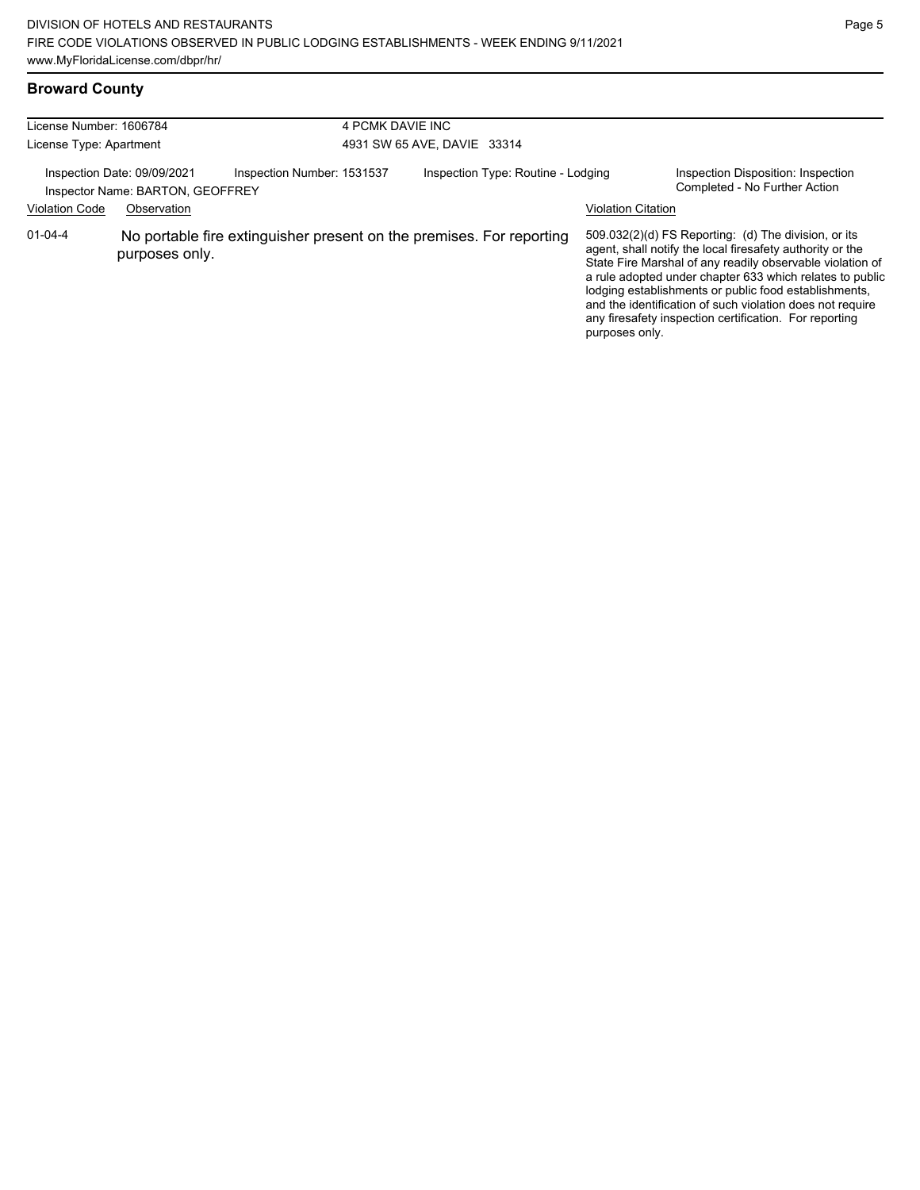### **Broward County**

| License Number: 1606784<br>License Type: Apartment              |                |                                                                      | 4 PCMK DAVIE INC<br>4931 SW 65 AVE, DAVIE 33314 |                           |                                                                                                                                                                                                                                                                                                                                                                                                                              |  |  |
|-----------------------------------------------------------------|----------------|----------------------------------------------------------------------|-------------------------------------------------|---------------------------|------------------------------------------------------------------------------------------------------------------------------------------------------------------------------------------------------------------------------------------------------------------------------------------------------------------------------------------------------------------------------------------------------------------------------|--|--|
| Inspection Date: 09/09/2021<br>Inspector Name: BARTON, GEOFFREY |                | Inspection Number: 1531537                                           | Inspection Type: Routine - Lodging              |                           | Inspection Disposition: Inspection<br>Completed - No Further Action                                                                                                                                                                                                                                                                                                                                                          |  |  |
| <b>Violation Code</b>                                           | Observation    |                                                                      |                                                 | <b>Violation Citation</b> |                                                                                                                                                                                                                                                                                                                                                                                                                              |  |  |
| $01 - 04 - 4$                                                   | purposes only. | No portable fire extinguisher present on the premises. For reporting |                                                 | purposes only.            | $509.032(2)(d)$ FS Reporting: (d) The division, or its<br>agent, shall notify the local firesafety authority or the<br>State Fire Marshal of any readily observable violation of<br>a rule adopted under chapter 633 which relates to public<br>lodging establishments or public food establishments,<br>and the identification of such violation does not require<br>any firesafety inspection certification. For reporting |  |  |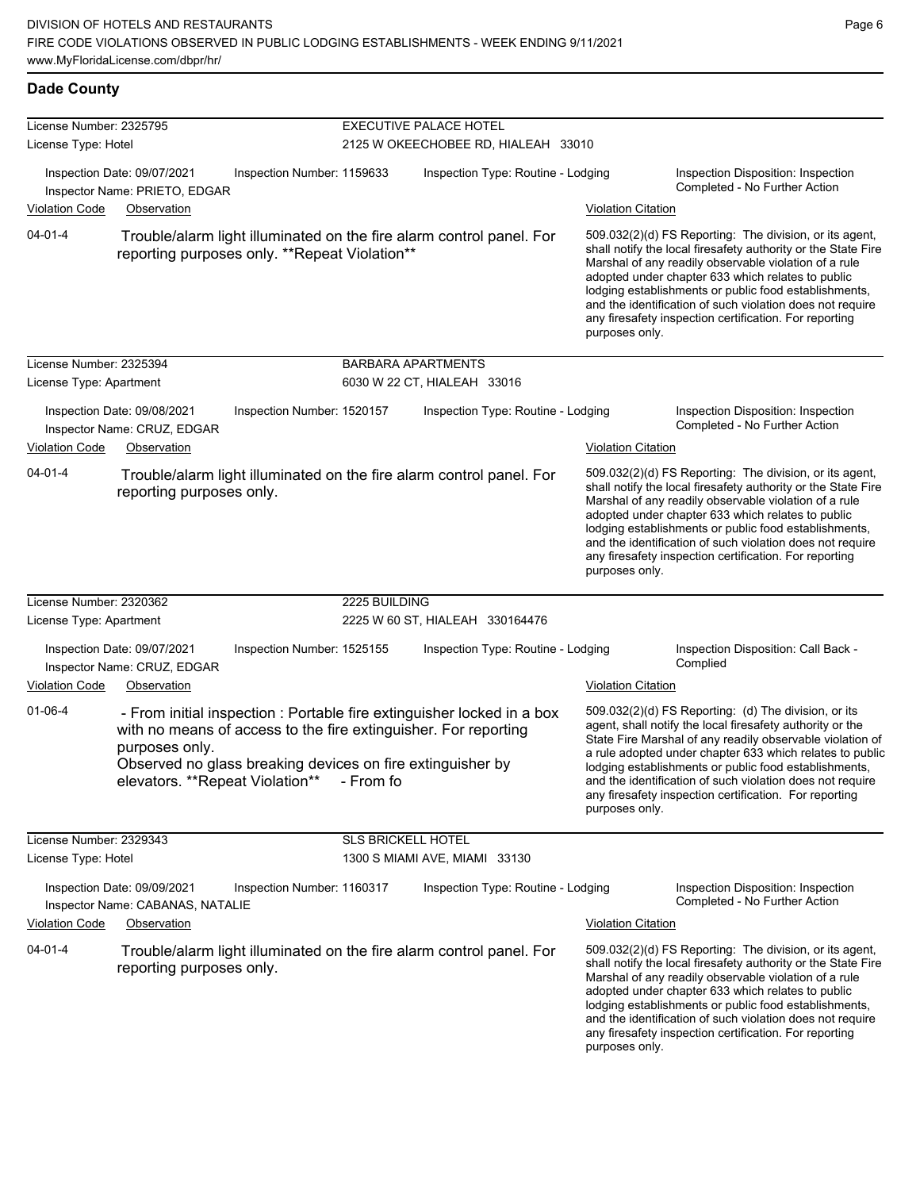#### **Dade County**

| License Number: 2325795<br>License Type: Hotel     |                                                                                |                                                                                                                                                                            | EXECUTIVE PALACE HOTEL<br>2125 W OKEECHOBEE RD, HIALEAH 33010 |                                                                        |                           |                                                                                                                                                                                                                                                                                                                                                                                                                            |  |
|----------------------------------------------------|--------------------------------------------------------------------------------|----------------------------------------------------------------------------------------------------------------------------------------------------------------------------|---------------------------------------------------------------|------------------------------------------------------------------------|---------------------------|----------------------------------------------------------------------------------------------------------------------------------------------------------------------------------------------------------------------------------------------------------------------------------------------------------------------------------------------------------------------------------------------------------------------------|--|
| <b>Violation Code</b>                              | Inspection Date: 09/07/2021<br>Inspector Name: PRIETO, EDGAR<br>Observation    | Inspection Number: 1159633                                                                                                                                                 |                                                               | Inspection Type: Routine - Lodging<br><u>Violation Citation</u>        |                           | Inspection Disposition: Inspection<br>Completed - No Further Action                                                                                                                                                                                                                                                                                                                                                        |  |
| $04 - 01 - 4$                                      |                                                                                | reporting purposes only. **Repeat Violation**                                                                                                                              |                                                               | Trouble/alarm light illuminated on the fire alarm control panel. For   | purposes only.            | 509.032(2)(d) FS Reporting: The division, or its agent,<br>shall notify the local firesafety authority or the State Fire<br>Marshal of any readily observable violation of a rule<br>adopted under chapter 633 which relates to public<br>lodging establishments or public food establishments,<br>and the identification of such violation does not require<br>any firesafety inspection certification. For reporting     |  |
| License Number: 2325394<br>License Type: Apartment |                                                                                |                                                                                                                                                                            | <b>BARBARA APARTMENTS</b>                                     | 6030 W 22 CT, HIALEAH 33016                                            |                           |                                                                                                                                                                                                                                                                                                                                                                                                                            |  |
| <b>Violation Code</b>                              | Inspection Date: 09/08/2021<br>Inspector Name: CRUZ, EDGAR<br>Observation      | Inspection Number: 1520157                                                                                                                                                 |                                                               | Inspection Type: Routine - Lodging                                     | <b>Violation Citation</b> | Inspection Disposition: Inspection<br>Completed - No Further Action                                                                                                                                                                                                                                                                                                                                                        |  |
| $04 - 01 - 4$                                      | reporting purposes only.                                                       |                                                                                                                                                                            |                                                               | Trouble/alarm light illuminated on the fire alarm control panel. For   | purposes only.            | 509.032(2)(d) FS Reporting: The division, or its agent,<br>shall notify the local firesafety authority or the State Fire<br>Marshal of any readily observable violation of a rule<br>adopted under chapter 633 which relates to public<br>lodging establishments or public food establishments,<br>and the identification of such violation does not require<br>any firesafety inspection certification. For reporting     |  |
| License Number: 2320362<br>License Type: Apartment |                                                                                |                                                                                                                                                                            | 2225 BUILDING                                                 | 2225 W 60 ST, HIALEAH 330164476                                        |                           |                                                                                                                                                                                                                                                                                                                                                                                                                            |  |
| <b>Violation Code</b>                              | Inspection Date: 09/07/2021<br>Inspector Name: CRUZ, EDGAR<br>Observation      | Inspection Number: 1525155                                                                                                                                                 |                                                               | Inspection Type: Routine - Lodging                                     | <b>Violation Citation</b> | Inspection Disposition: Call Back -<br>Complied                                                                                                                                                                                                                                                                                                                                                                            |  |
| $01 - 06 - 4$                                      | purposes only.                                                                 | with no means of access to the fire extinguisher. For reporting<br>Observed no glass breaking devices on fire extinguisher by<br>elevators. **Repeat Violation** - From fo |                                                               | - From initial inspection : Portable fire extinguisher locked in a box | purposes only.            | 509.032(2)(d) FS Reporting: (d) The division, or its<br>agent, shall notify the local firesafety authority or the<br>State Fire Marshal of any readily observable violation of<br>a rule adopted under chapter 633 which relates to public<br>lodging establishments or public food establishments,<br>and the identification of such violation does not require<br>any firesafety inspection certification. For reporting |  |
| License Number: 2329343<br>License Type: Hotel     |                                                                                |                                                                                                                                                                            | SLS BRICKELL HOTEL                                            | 1300 S MIAMI AVE, MIAMI 33130                                          |                           |                                                                                                                                                                                                                                                                                                                                                                                                                            |  |
| <b>Violation Code</b>                              | Inspection Date: 09/09/2021<br>Inspector Name: CABANAS, NATALIE<br>Observation | Inspection Number: 1160317                                                                                                                                                 |                                                               | Inspection Type: Routine - Lodging                                     | <b>Violation Citation</b> | Inspection Disposition: Inspection<br>Completed - No Further Action                                                                                                                                                                                                                                                                                                                                                        |  |
| $04 - 01 - 4$                                      | reporting purposes only.                                                       |                                                                                                                                                                            |                                                               | Trouble/alarm light illuminated on the fire alarm control panel. For   | purposes only.            | 509.032(2)(d) FS Reporting: The division, or its agent,<br>shall notify the local firesafety authority or the State Fire<br>Marshal of any readily observable violation of a rule<br>adopted under chapter 633 which relates to public<br>lodging establishments or public food establishments,<br>and the identification of such violation does not require<br>any firesafety inspection certification. For reporting     |  |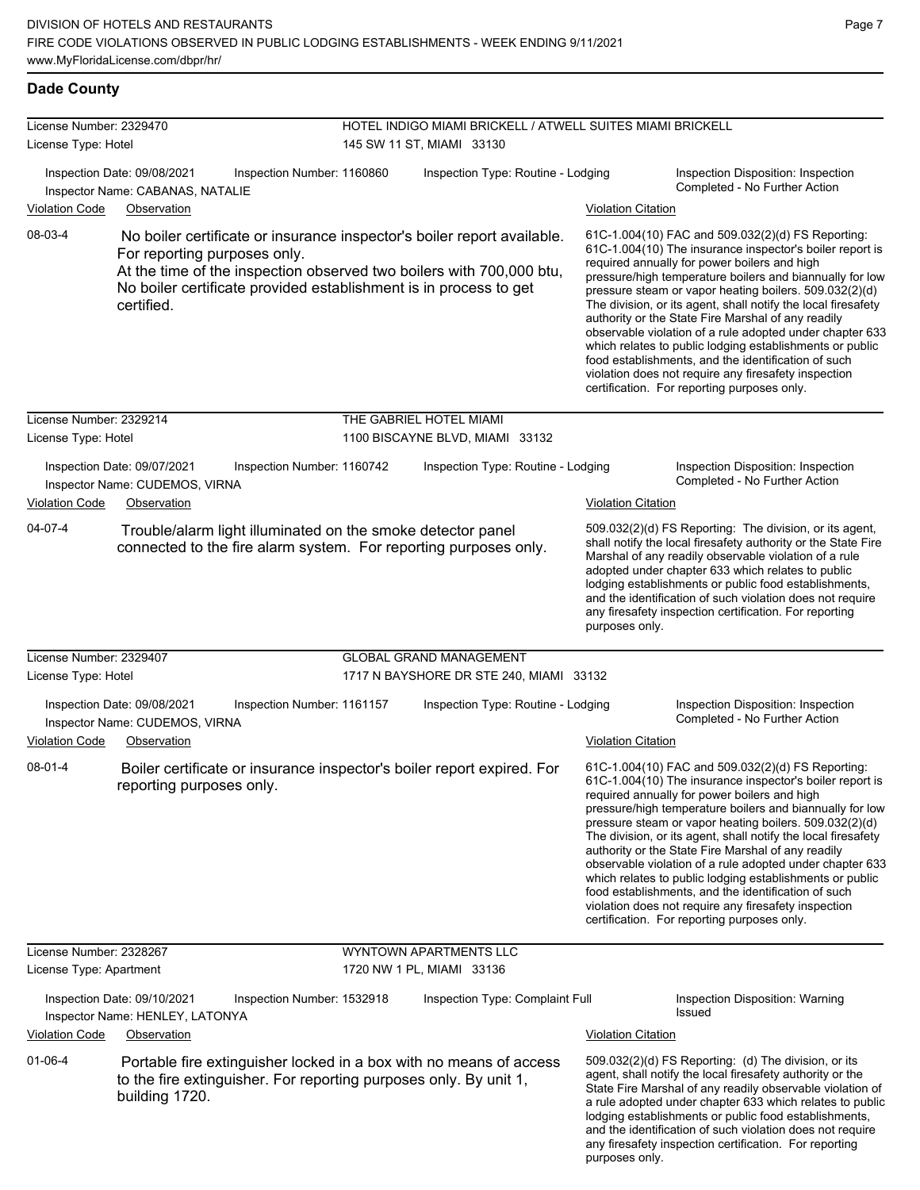### **Dade County**

| License Number: 2329470<br>License Type: Hotel |                                                                                                                                                                                                                                                                                   | HOTEL INDIGO MIAMI BRICKELL / ATWELL SUITES MIAMI BRICKELL<br>145 SW 11 ST, MIAMI 33130 |                           |                                                                                                                                                                                                                                                                                                                                                                                                                                                                                                                                                                                                                                                                                                  |  |
|------------------------------------------------|-----------------------------------------------------------------------------------------------------------------------------------------------------------------------------------------------------------------------------------------------------------------------------------|-----------------------------------------------------------------------------------------|---------------------------|--------------------------------------------------------------------------------------------------------------------------------------------------------------------------------------------------------------------------------------------------------------------------------------------------------------------------------------------------------------------------------------------------------------------------------------------------------------------------------------------------------------------------------------------------------------------------------------------------------------------------------------------------------------------------------------------------|--|
|                                                | Inspection Date: 09/08/2021<br>Inspection Number: 1160860<br>Inspector Name: CABANAS, NATALIE                                                                                                                                                                                     | Inspection Type: Routine - Lodging                                                      |                           | Inspection Disposition: Inspection<br>Completed - No Further Action                                                                                                                                                                                                                                                                                                                                                                                                                                                                                                                                                                                                                              |  |
| <b>Violation Code</b><br>08-03-4               | Observation<br>No boiler certificate or insurance inspector's boiler report available.<br>For reporting purposes only.<br>At the time of the inspection observed two boilers with 700,000 btu,<br>No boiler certificate provided establishment is in process to get<br>certified. |                                                                                         | <b>Violation Citation</b> | 61C-1.004(10) FAC and 509.032(2)(d) FS Reporting:<br>61C-1.004(10) The insurance inspector's boiler report is<br>required annually for power boilers and high<br>pressure/high temperature boilers and biannually for low<br>pressure steam or vapor heating boilers. 509.032(2)(d)<br>The division, or its agent, shall notify the local firesafety                                                                                                                                                                                                                                                                                                                                             |  |
|                                                |                                                                                                                                                                                                                                                                                   |                                                                                         |                           | authority or the State Fire Marshal of any readily<br>observable violation of a rule adopted under chapter 633<br>which relates to public lodging establishments or public<br>food establishments, and the identification of such<br>violation does not require any firesafety inspection<br>certification. For reporting purposes only.                                                                                                                                                                                                                                                                                                                                                         |  |
| License Number: 2329214                        |                                                                                                                                                                                                                                                                                   | THE GABRIEL HOTEL MIAMI                                                                 |                           |                                                                                                                                                                                                                                                                                                                                                                                                                                                                                                                                                                                                                                                                                                  |  |
| License Type: Hotel                            |                                                                                                                                                                                                                                                                                   | 1100 BISCAYNE BLVD, MIAMI 33132                                                         |                           |                                                                                                                                                                                                                                                                                                                                                                                                                                                                                                                                                                                                                                                                                                  |  |
|                                                | Inspection Date: 09/07/2021<br>Inspection Number: 1160742<br>Inspector Name: CUDEMOS, VIRNA                                                                                                                                                                                       | Inspection Type: Routine - Lodging                                                      |                           | Inspection Disposition: Inspection<br>Completed - No Further Action                                                                                                                                                                                                                                                                                                                                                                                                                                                                                                                                                                                                                              |  |
| <b>Violation Code</b>                          | Observation                                                                                                                                                                                                                                                                       |                                                                                         | Violation Citation        |                                                                                                                                                                                                                                                                                                                                                                                                                                                                                                                                                                                                                                                                                                  |  |
| 04-07-4                                        | Trouble/alarm light illuminated on the smoke detector panel<br>connected to the fire alarm system. For reporting purposes only.                                                                                                                                                   |                                                                                         | purposes only.            | 509.032(2)(d) FS Reporting: The division, or its agent,<br>shall notify the local firesafety authority or the State Fire<br>Marshal of any readily observable violation of a rule<br>adopted under chapter 633 which relates to public<br>lodging establishments or public food establishments,<br>and the identification of such violation does not require<br>any firesafety inspection certification. For reporting                                                                                                                                                                                                                                                                           |  |
| License Number: 2329407                        |                                                                                                                                                                                                                                                                                   | <b>GLOBAL GRAND MANAGEMENT</b>                                                          |                           |                                                                                                                                                                                                                                                                                                                                                                                                                                                                                                                                                                                                                                                                                                  |  |
| License Type: Hotel                            |                                                                                                                                                                                                                                                                                   | 1717 N BAYSHORE DR STE 240, MIAMI 33132                                                 |                           |                                                                                                                                                                                                                                                                                                                                                                                                                                                                                                                                                                                                                                                                                                  |  |
|                                                | Inspection Number: 1161157<br>Inspection Date: 09/08/2021<br>Inspector Name: CUDEMOS, VIRNA                                                                                                                                                                                       | Inspection Type: Routine - Lodging                                                      |                           | Inspection Disposition: Inspection<br>Completed - No Further Action                                                                                                                                                                                                                                                                                                                                                                                                                                                                                                                                                                                                                              |  |
| <b>Violation Code</b>                          | Observation                                                                                                                                                                                                                                                                       |                                                                                         | <b>Violation Citation</b> |                                                                                                                                                                                                                                                                                                                                                                                                                                                                                                                                                                                                                                                                                                  |  |
| 08-01-4                                        | Boiler certificate or insurance inspector's boiler report expired. For<br>reporting purposes only.                                                                                                                                                                                |                                                                                         |                           | 61C-1.004(10) FAC and 509.032(2)(d) FS Reporting:<br>61C-1.004(10) The insurance inspector's boiler report is<br>required annually for power boilers and high<br>pressure/high temperature boilers and biannually for low<br>pressure steam or vapor heating boilers. 509.032(2)(d)<br>The division, or its agent, shall notify the local firesafety<br>authority or the State Fire Marshal of any readily<br>observable violation of a rule adopted under chapter 633<br>which relates to public lodging establishments or public<br>food establishments, and the identification of such<br>violation does not require any firesafety inspection<br>certification. For reporting purposes only. |  |
| License Number: 2328267                        |                                                                                                                                                                                                                                                                                   | <b>WYNTOWN APARTMENTS LLC</b>                                                           |                           |                                                                                                                                                                                                                                                                                                                                                                                                                                                                                                                                                                                                                                                                                                  |  |
| License Type: Apartment                        |                                                                                                                                                                                                                                                                                   | 1720 NW 1 PL, MIAMI 33136                                                               |                           |                                                                                                                                                                                                                                                                                                                                                                                                                                                                                                                                                                                                                                                                                                  |  |
|                                                | Inspection Date: 09/10/2021<br>Inspection Number: 1532918<br>Inspector Name: HENLEY, LATONYA                                                                                                                                                                                      | Inspection Type: Complaint Full                                                         |                           | Inspection Disposition: Warning<br><b>Issued</b>                                                                                                                                                                                                                                                                                                                                                                                                                                                                                                                                                                                                                                                 |  |
| <b>Violation Code</b>                          | Observation                                                                                                                                                                                                                                                                       |                                                                                         | Violation Citation        |                                                                                                                                                                                                                                                                                                                                                                                                                                                                                                                                                                                                                                                                                                  |  |
| $01 - 06 - 4$                                  | Portable fire extinguisher locked in a box with no means of access<br>to the fire extinguisher. For reporting purposes only. By unit 1,<br>building 1720.                                                                                                                         |                                                                                         |                           | 509.032(2)(d) FS Reporting: (d) The division, or its<br>agent, shall notify the local firesafety authority or the<br>State Fire Marshal of any readily observable violation of<br>a rule adopted under chapter 633 which relates to public<br>lodging establishments or public food establishments,<br>and the identification of such violation does not require<br>any firesafety inspection certification. For reporting                                                                                                                                                                                                                                                                       |  |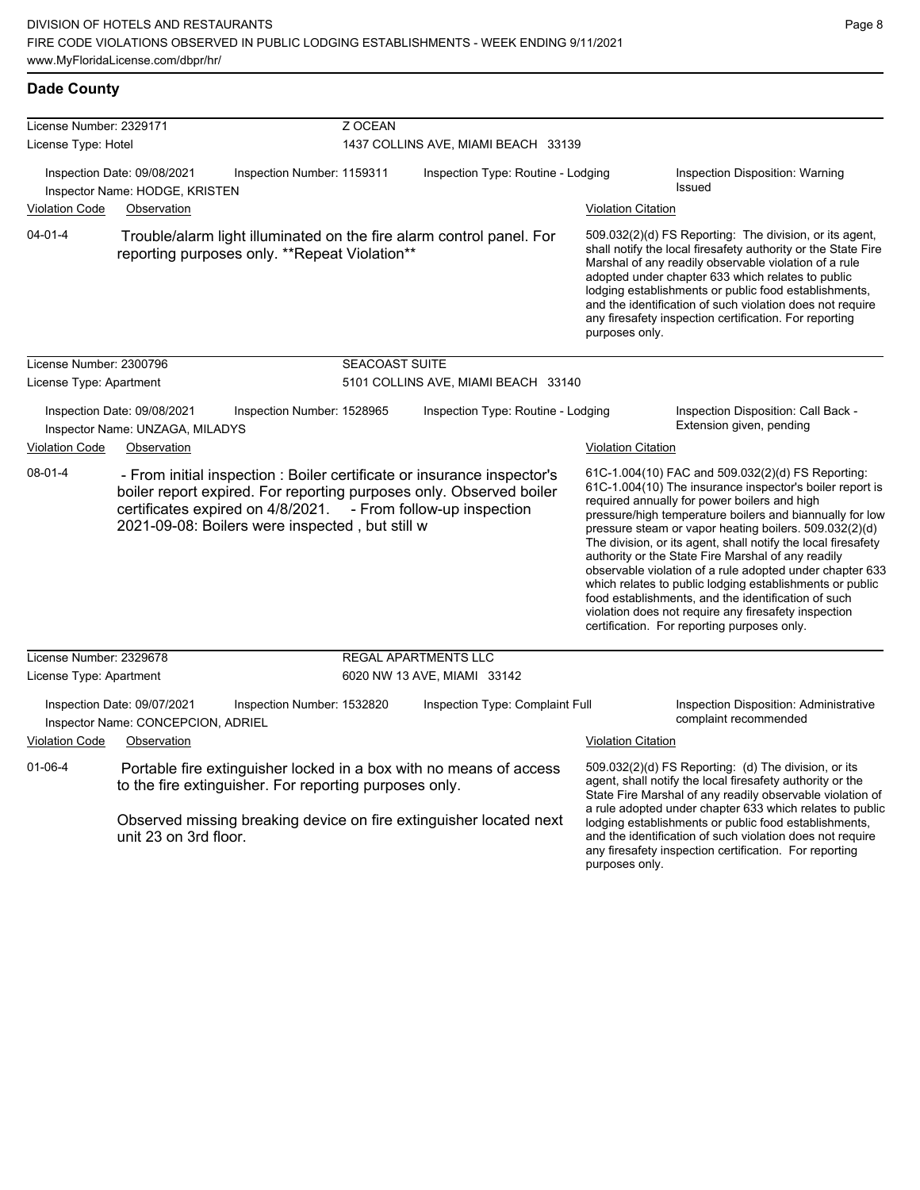| License Number: 2329171                                        |                                                                                  |                                                                                      | Z OCEAN                                                            |                                                                                                                                                                               |                           |                                                                                                                                                                                                                                                                                                                                                                                                                                                                                                                                                                                                                                                                                                  |  |
|----------------------------------------------------------------|----------------------------------------------------------------------------------|--------------------------------------------------------------------------------------|--------------------------------------------------------------------|-------------------------------------------------------------------------------------------------------------------------------------------------------------------------------|---------------------------|--------------------------------------------------------------------------------------------------------------------------------------------------------------------------------------------------------------------------------------------------------------------------------------------------------------------------------------------------------------------------------------------------------------------------------------------------------------------------------------------------------------------------------------------------------------------------------------------------------------------------------------------------------------------------------------------------|--|
| License Type: Hotel                                            |                                                                                  |                                                                                      | 1437 COLLINS AVE, MIAMI BEACH 33139                                |                                                                                                                                                                               |                           |                                                                                                                                                                                                                                                                                                                                                                                                                                                                                                                                                                                                                                                                                                  |  |
|                                                                | Inspection Date: 09/08/2021<br>Inspector Name: HODGE, KRISTEN                    | Inspection Number: 1159311                                                           | Inspection Type: Routine - Lodging                                 |                                                                                                                                                                               |                           | Inspection Disposition: Warning<br><b>Issued</b>                                                                                                                                                                                                                                                                                                                                                                                                                                                                                                                                                                                                                                                 |  |
| <b>Violation Code</b>                                          | Observation                                                                      |                                                                                      |                                                                    |                                                                                                                                                                               | <b>Violation Citation</b> |                                                                                                                                                                                                                                                                                                                                                                                                                                                                                                                                                                                                                                                                                                  |  |
| $04 - 01 - 4$                                                  |                                                                                  | reporting purposes only. **Repeat Violation**                                        |                                                                    | Trouble/alarm light illuminated on the fire alarm control panel. For                                                                                                          | purposes only.            | 509.032(2)(d) FS Reporting: The division, or its agent,<br>shall notify the local firesafety authority or the State Fire<br>Marshal of any readily observable violation of a rule<br>adopted under chapter 633 which relates to public<br>lodging establishments or public food establishments,<br>and the identification of such violation does not require<br>any firesafety inspection certification. For reporting                                                                                                                                                                                                                                                                           |  |
| License Number: 2300796                                        |                                                                                  |                                                                                      | <b>SEACOAST SUITE</b>                                              |                                                                                                                                                                               |                           |                                                                                                                                                                                                                                                                                                                                                                                                                                                                                                                                                                                                                                                                                                  |  |
| License Type: Apartment                                        |                                                                                  |                                                                                      |                                                                    | 5101 COLLINS AVE, MIAMI BEACH 33140                                                                                                                                           |                           |                                                                                                                                                                                                                                                                                                                                                                                                                                                                                                                                                                                                                                                                                                  |  |
| Inspection Date: 09/08/2021<br>Inspector Name: UNZAGA, MILADYS |                                                                                  | Inspection Number: 1528965                                                           | Inspection Type: Routine - Lodging                                 |                                                                                                                                                                               |                           | Inspection Disposition: Call Back -<br>Extension given, pending                                                                                                                                                                                                                                                                                                                                                                                                                                                                                                                                                                                                                                  |  |
| <b>Violation Code</b>                                          | Observation                                                                      |                                                                                      |                                                                    |                                                                                                                                                                               | <b>Violation Citation</b> |                                                                                                                                                                                                                                                                                                                                                                                                                                                                                                                                                                                                                                                                                                  |  |
| $08 - 01 - 4$                                                  |                                                                                  | certificates expired on 4/8/2021.<br>2021-09-08: Boilers were inspected, but still w |                                                                    | - From initial inspection : Boiler certificate or insurance inspector's<br>boiler report expired. For reporting purposes only. Observed boiler<br>- From follow-up inspection |                           | 61C-1.004(10) FAC and 509.032(2)(d) FS Reporting:<br>61C-1.004(10) The insurance inspector's boiler report is<br>required annually for power boilers and high<br>pressure/high temperature boilers and biannually for low<br>pressure steam or vapor heating boilers. 509.032(2)(d)<br>The division, or its agent, shall notify the local firesafety<br>authority or the State Fire Marshal of any readily<br>observable violation of a rule adopted under chapter 633<br>which relates to public lodging establishments or public<br>food establishments, and the identification of such<br>violation does not require any firesafety inspection<br>certification. For reporting purposes only. |  |
| License Number: 2329678                                        |                                                                                  |                                                                                      |                                                                    | REGAL APARTMENTS LLC                                                                                                                                                          |                           |                                                                                                                                                                                                                                                                                                                                                                                                                                                                                                                                                                                                                                                                                                  |  |
| License Type: Apartment                                        |                                                                                  |                                                                                      |                                                                    | 6020 NW 13 AVE, MIAMI 33142                                                                                                                                                   |                           |                                                                                                                                                                                                                                                                                                                                                                                                                                                                                                                                                                                                                                                                                                  |  |
| <b>Violation Code</b>                                          | Inspection Date: 09/07/2021<br>Inspector Name: CONCEPCION, ADRIEL<br>Observation | Inspection Number: 1532820                                                           |                                                                    | Inspection Type: Complaint Full                                                                                                                                               | <b>Violation Citation</b> | Inspection Disposition: Administrative<br>complaint recommended                                                                                                                                                                                                                                                                                                                                                                                                                                                                                                                                                                                                                                  |  |
|                                                                |                                                                                  |                                                                                      |                                                                    |                                                                                                                                                                               |                           |                                                                                                                                                                                                                                                                                                                                                                                                                                                                                                                                                                                                                                                                                                  |  |
| $01 - 06 - 4$                                                  |                                                                                  | to the fire extinguisher. For reporting purposes only.                               | Portable fire extinguisher locked in a box with no means of access |                                                                                                                                                                               |                           | 509.032(2)(d) FS Reporting: (d) The division, or its<br>agent, shall notify the local firesafety authority or the<br>State Fire Marshal of any readily observable violation of<br>a rule adopted under chapter 633 which relates to public                                                                                                                                                                                                                                                                                                                                                                                                                                                       |  |
|                                                                | unit 23 on 3rd floor.                                                            |                                                                                      |                                                                    | Observed missing breaking device on fire extinguisher located next                                                                                                            |                           | lodging establishments or public food establishments,<br>and the identification of such violation does not require<br>any firesafety inspection certification. For reporting                                                                                                                                                                                                                                                                                                                                                                                                                                                                                                                     |  |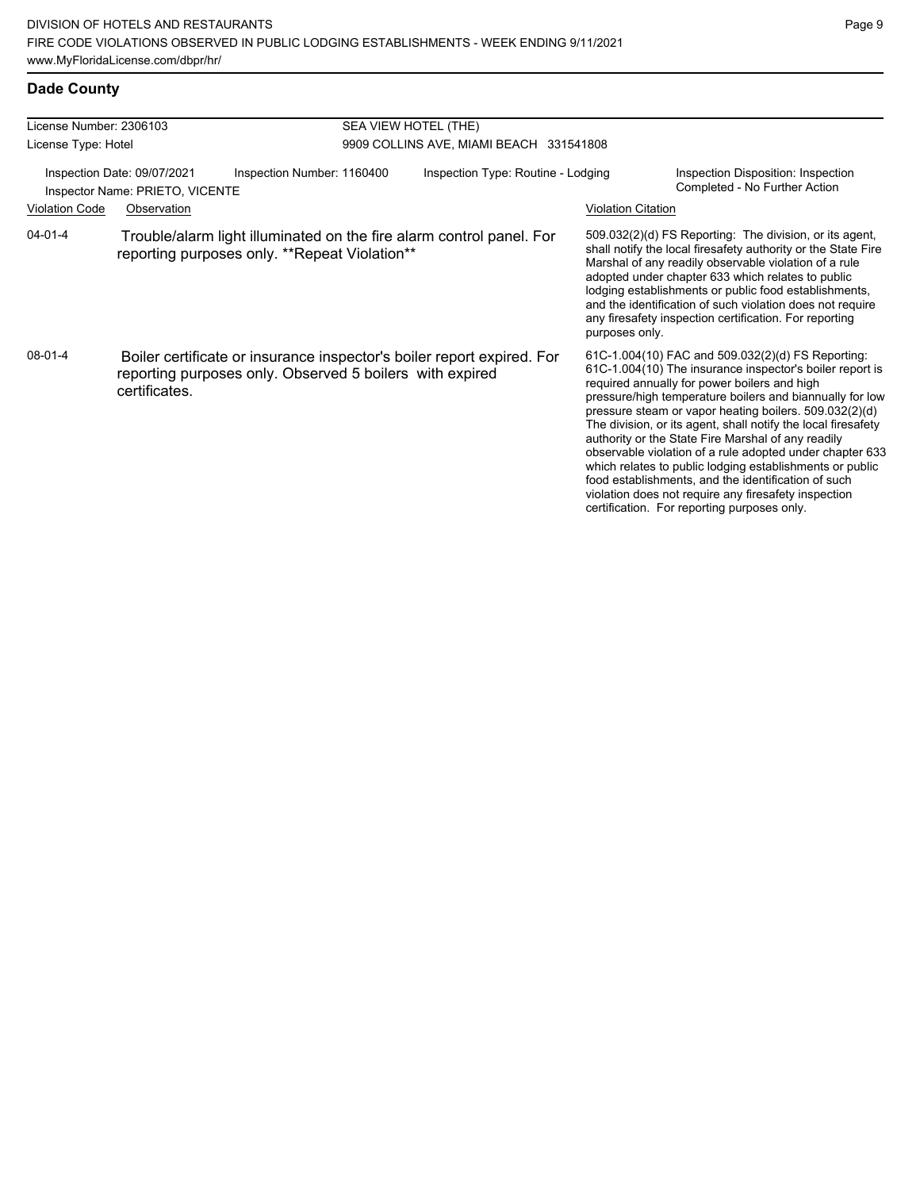### **Dade County**

| License Number: 2306103                                        |               |                                                                                                                                    | SEA VIEW HOTEL (THE)                    |                           |                                                                                                                                                                                                                                                                                                                                                                                                                                                                                                                                                                                                                                                                                                  |  |  |
|----------------------------------------------------------------|---------------|------------------------------------------------------------------------------------------------------------------------------------|-----------------------------------------|---------------------------|--------------------------------------------------------------------------------------------------------------------------------------------------------------------------------------------------------------------------------------------------------------------------------------------------------------------------------------------------------------------------------------------------------------------------------------------------------------------------------------------------------------------------------------------------------------------------------------------------------------------------------------------------------------------------------------------------|--|--|
| License Type: Hotel                                            |               |                                                                                                                                    | 9909 COLLINS AVE, MIAMI BEACH 331541808 |                           |                                                                                                                                                                                                                                                                                                                                                                                                                                                                                                                                                                                                                                                                                                  |  |  |
| Inspection Date: 09/07/2021<br>Inspector Name: PRIETO, VICENTE |               | Inspection Number: 1160400                                                                                                         | Inspection Type: Routine - Lodging      |                           | Inspection Disposition: Inspection<br>Completed - No Further Action                                                                                                                                                                                                                                                                                                                                                                                                                                                                                                                                                                                                                              |  |  |
| <b>Violation Code</b>                                          | Observation   |                                                                                                                                    |                                         | <b>Violation Citation</b> |                                                                                                                                                                                                                                                                                                                                                                                                                                                                                                                                                                                                                                                                                                  |  |  |
| $04 - 01 - 4$                                                  |               | Trouble/alarm light illuminated on the fire alarm control panel. For<br>reporting purposes only. **Repeat Violation**              |                                         | purposes only.            | 509.032(2)(d) FS Reporting: The division, or its agent,<br>shall notify the local firesafety authority or the State Fire<br>Marshal of any readily observable violation of a rule<br>adopted under chapter 633 which relates to public<br>lodging establishments or public food establishments,<br>and the identification of such violation does not require<br>any firesafety inspection certification. For reporting                                                                                                                                                                                                                                                                           |  |  |
| $08 - 01 - 4$                                                  | certificates. | Boiler certificate or insurance inspector's boiler report expired. For<br>reporting purposes only. Observed 5 boilers with expired |                                         |                           | 61C-1.004(10) FAC and 509.032(2)(d) FS Reporting:<br>61C-1.004(10) The insurance inspector's boiler report is<br>required annually for power boilers and high<br>pressure/high temperature boilers and biannually for low<br>pressure steam or vapor heating boilers. 509.032(2)(d)<br>The division, or its agent, shall notify the local firesafety<br>authority or the State Fire Marshal of any readily<br>observable violation of a rule adopted under chapter 633<br>which relates to public lodging establishments or public<br>food establishments, and the identification of such<br>violation does not require any firesafety inspection<br>certification. For reporting purposes only. |  |  |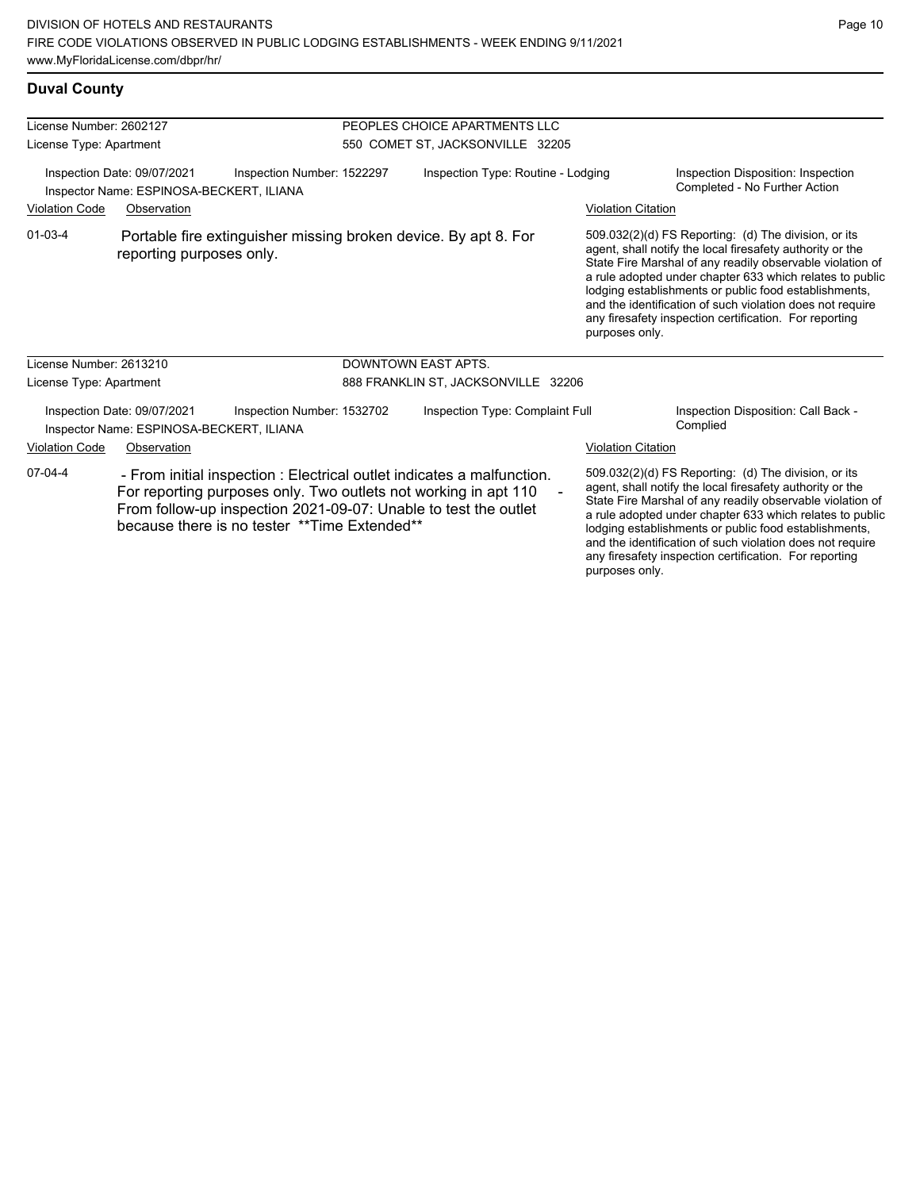| License Number: 2602127 |                                                                         |                                                                                                                                                                                                                                                              | PEOPLES CHOICE APARTMENTS LLC       |                           |                                                                                                                                                                                                                                                                                                                                                                                                                            |
|-------------------------|-------------------------------------------------------------------------|--------------------------------------------------------------------------------------------------------------------------------------------------------------------------------------------------------------------------------------------------------------|-------------------------------------|---------------------------|----------------------------------------------------------------------------------------------------------------------------------------------------------------------------------------------------------------------------------------------------------------------------------------------------------------------------------------------------------------------------------------------------------------------------|
| License Type: Apartment |                                                                         |                                                                                                                                                                                                                                                              | 550 COMET ST, JACKSONVILLE 32205    |                           |                                                                                                                                                                                                                                                                                                                                                                                                                            |
|                         | Inspection Date: 09/07/2021<br>Inspector Name: ESPINOSA-BECKERT, ILIANA | Inspection Number: 1522297                                                                                                                                                                                                                                   | Inspection Type: Routine - Lodging  |                           | Inspection Disposition: Inspection<br>Completed - No Further Action                                                                                                                                                                                                                                                                                                                                                        |
| <b>Violation Code</b>   | Observation                                                             |                                                                                                                                                                                                                                                              |                                     | <b>Violation Citation</b> |                                                                                                                                                                                                                                                                                                                                                                                                                            |
| $01 - 03 - 4$           | reporting purposes only.                                                | Portable fire extinguisher missing broken device. By apt 8. For                                                                                                                                                                                              |                                     | purposes only.            | 509.032(2)(d) FS Reporting: (d) The division, or its<br>agent, shall notify the local firesafety authority or the<br>State Fire Marshal of any readily observable violation of<br>a rule adopted under chapter 633 which relates to public<br>lodging establishments or public food establishments,<br>and the identification of such violation does not require<br>any firesafety inspection certification. For reporting |
| License Number: 2613210 |                                                                         |                                                                                                                                                                                                                                                              | <b>DOWNTOWN EAST APTS.</b>          |                           |                                                                                                                                                                                                                                                                                                                                                                                                                            |
| License Type: Apartment |                                                                         |                                                                                                                                                                                                                                                              | 888 FRANKLIN ST, JACKSONVILLE 32206 |                           |                                                                                                                                                                                                                                                                                                                                                                                                                            |
|                         | Inspection Date: 09/07/2021<br>Inspector Name: ESPINOSA-BECKERT, ILIANA | Inspection Number: 1532702                                                                                                                                                                                                                                   | Inspection Type: Complaint Full     |                           | Inspection Disposition: Call Back -<br>Complied                                                                                                                                                                                                                                                                                                                                                                            |
| <b>Violation Code</b>   | Observation                                                             |                                                                                                                                                                                                                                                              |                                     | <b>Violation Citation</b> |                                                                                                                                                                                                                                                                                                                                                                                                                            |
| $07-04-4$               |                                                                         | - From initial inspection : Electrical outlet indicates a malfunction.<br>For reporting purposes only. Two outlets not working in apt 110<br>From follow-up inspection 2021-09-07: Unable to test the outlet<br>because there is no tester **Time Extended** |                                     |                           | 509.032(2)(d) FS Reporting: (d) The division, or its<br>agent, shall notify the local firesafety authority or the<br>State Fire Marshal of any readily observable violation of<br>a rule adopted under chapter 633 which relates to public<br>lodging establishments or public food establishments,<br>and the identification of such violation does not require                                                           |

any firesafety inspection certification. For reporting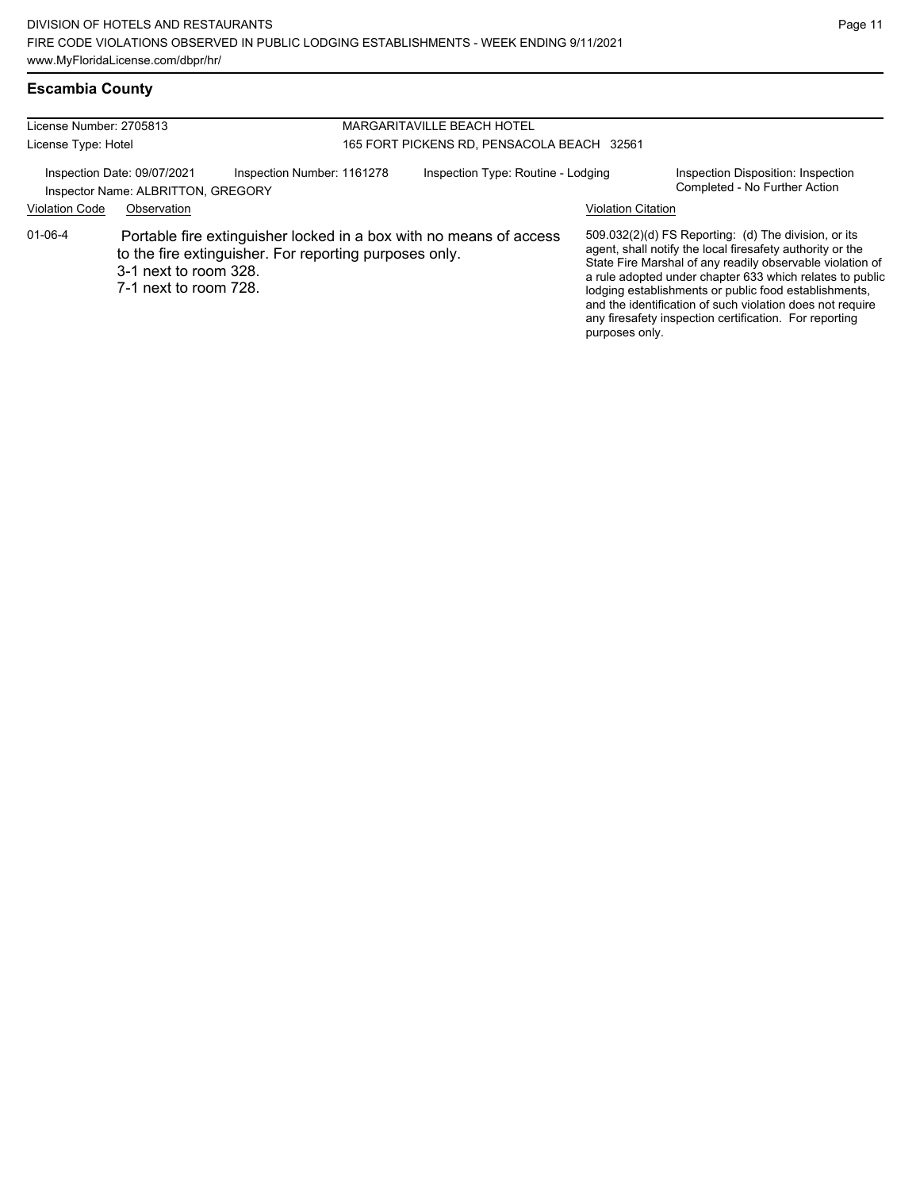## **Escambia County**

| License Number: 2705813<br><b>MARGARITAVILLE BEACH HOTEL</b> |                                                                   |                                                                                                                              |                                            |                           |                                                                                                                                                                                                                                                                                                                                                                                                                            |  |
|--------------------------------------------------------------|-------------------------------------------------------------------|------------------------------------------------------------------------------------------------------------------------------|--------------------------------------------|---------------------------|----------------------------------------------------------------------------------------------------------------------------------------------------------------------------------------------------------------------------------------------------------------------------------------------------------------------------------------------------------------------------------------------------------------------------|--|
| License Type: Hotel                                          |                                                                   |                                                                                                                              | 165 FORT PICKENS RD, PENSACOLA BEACH 32561 |                           |                                                                                                                                                                                                                                                                                                                                                                                                                            |  |
|                                                              | Inspection Date: 09/07/2021<br>Inspector Name: ALBRITTON, GREGORY | Inspection Number: 1161278                                                                                                   | Inspection Type: Routine - Lodging         |                           | Inspection Disposition: Inspection<br>Completed - No Further Action                                                                                                                                                                                                                                                                                                                                                        |  |
| <b>Violation Code</b>                                        | Observation                                                       |                                                                                                                              |                                            | <b>Violation Citation</b> |                                                                                                                                                                                                                                                                                                                                                                                                                            |  |
| 01-06-4                                                      | 3-1 next to room 328.<br>7-1 next to room 728.                    | Portable fire extinguisher locked in a box with no means of access<br>to the fire extinguisher. For reporting purposes only. |                                            | purposes only.            | 509.032(2)(d) FS Reporting: (d) The division, or its<br>agent, shall notify the local firesafety authority or the<br>State Fire Marshal of any readily observable violation of<br>a rule adopted under chapter 633 which relates to public<br>lodging establishments or public food establishments,<br>and the identification of such violation does not require<br>any firesafety inspection certification. For reporting |  |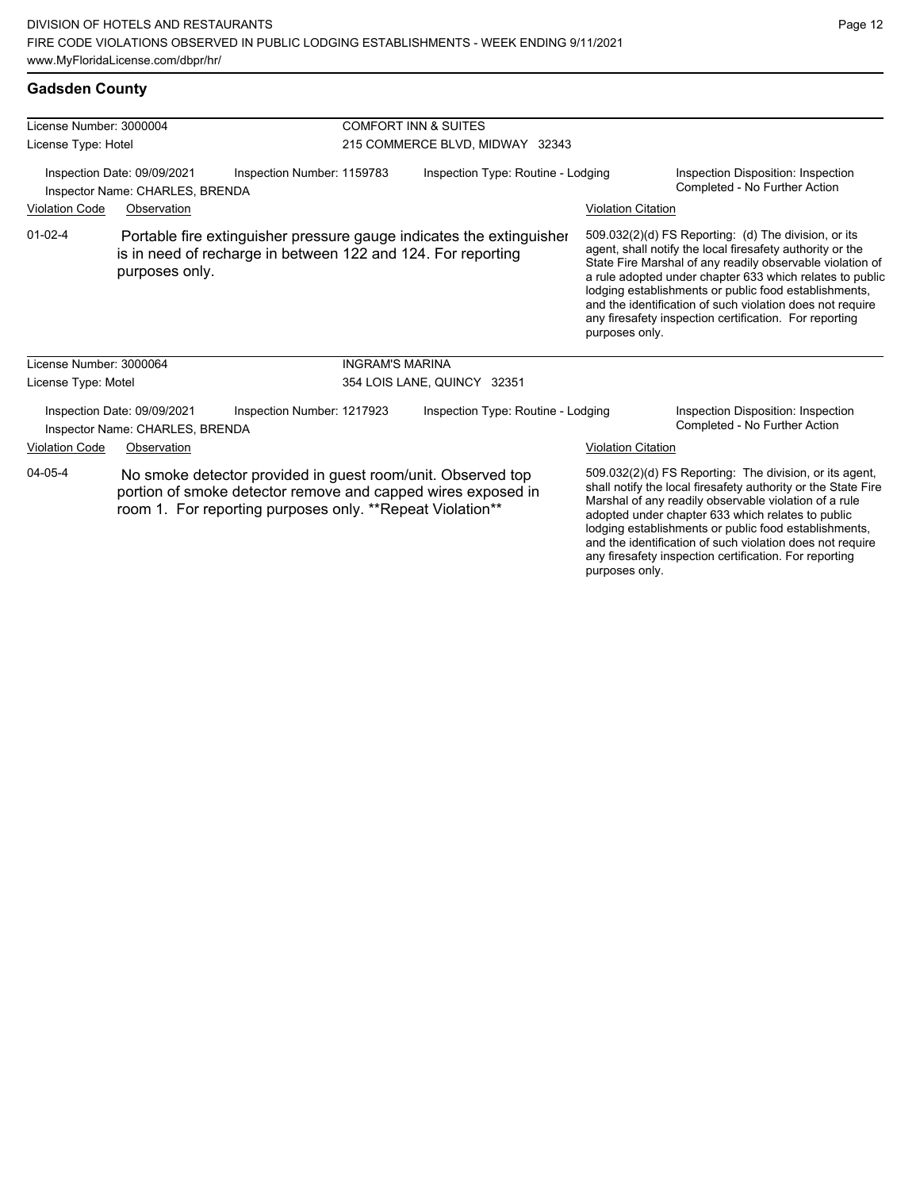any firesafety inspection certification. For reporting

purposes only.

## **Gadsden County**

| License Number: 3000004 |                                                                |                                                                                                                                                                                           | <b>COMFORT INN &amp; SUITES</b>    |                           |                                                                                                                                                                                                                                                                                                                                                                                                                            |  |
|-------------------------|----------------------------------------------------------------|-------------------------------------------------------------------------------------------------------------------------------------------------------------------------------------------|------------------------------------|---------------------------|----------------------------------------------------------------------------------------------------------------------------------------------------------------------------------------------------------------------------------------------------------------------------------------------------------------------------------------------------------------------------------------------------------------------------|--|
| License Type: Hotel     |                                                                |                                                                                                                                                                                           | 215 COMMERCE BLVD, MIDWAY 32343    |                           |                                                                                                                                                                                                                                                                                                                                                                                                                            |  |
|                         | Inspection Date: 09/09/2021<br>Inspector Name: CHARLES, BRENDA | Inspection Number: 1159783                                                                                                                                                                | Inspection Type: Routine - Lodging |                           | Inspection Disposition: Inspection<br>Completed - No Further Action                                                                                                                                                                                                                                                                                                                                                        |  |
| <b>Violation Code</b>   | Observation                                                    |                                                                                                                                                                                           |                                    | <b>Violation Citation</b> |                                                                                                                                                                                                                                                                                                                                                                                                                            |  |
| $01 - 02 - 4$           | purposes only.                                                 | Portable fire extinguisher pressure gauge indicates the extinguisher<br>is in need of recharge in between 122 and 124. For reporting                                                      |                                    | purposes only.            | 509.032(2)(d) FS Reporting: (d) The division, or its<br>agent, shall notify the local firesafety authority or the<br>State Fire Marshal of any readily observable violation of<br>a rule adopted under chapter 633 which relates to public<br>lodging establishments or public food establishments,<br>and the identification of such violation does not require<br>any firesafety inspection certification. For reporting |  |
| License Number: 3000064 |                                                                | <b>INGRAM'S MARINA</b>                                                                                                                                                                    |                                    |                           |                                                                                                                                                                                                                                                                                                                                                                                                                            |  |
| License Type: Motel     |                                                                |                                                                                                                                                                                           | 354 LOIS LANE, QUINCY 32351        |                           |                                                                                                                                                                                                                                                                                                                                                                                                                            |  |
|                         | Inspection Date: 09/09/2021<br>Inspector Name: CHARLES, BRENDA | Inspection Number: 1217923                                                                                                                                                                | Inspection Type: Routine - Lodging |                           | Inspection Disposition: Inspection<br>Completed - No Further Action                                                                                                                                                                                                                                                                                                                                                        |  |
| <b>Violation Code</b>   | Observation                                                    |                                                                                                                                                                                           |                                    | <b>Violation Citation</b> |                                                                                                                                                                                                                                                                                                                                                                                                                            |  |
| $04 - 05 - 4$           |                                                                | No smoke detector provided in guest room/unit. Observed top<br>portion of smoke detector remove and capped wires exposed in<br>room 1. For reporting purposes only. ** Repeat Violation** |                                    |                           | 509.032(2)(d) FS Reporting: The division, or its agent,<br>shall notify the local firesafety authority or the State Fire<br>Marshal of any readily observable violation of a rule<br>adopted under chapter 633 which relates to public<br>lodging establishments or public food establishments,<br>and the identification of such violation does not require                                                               |  |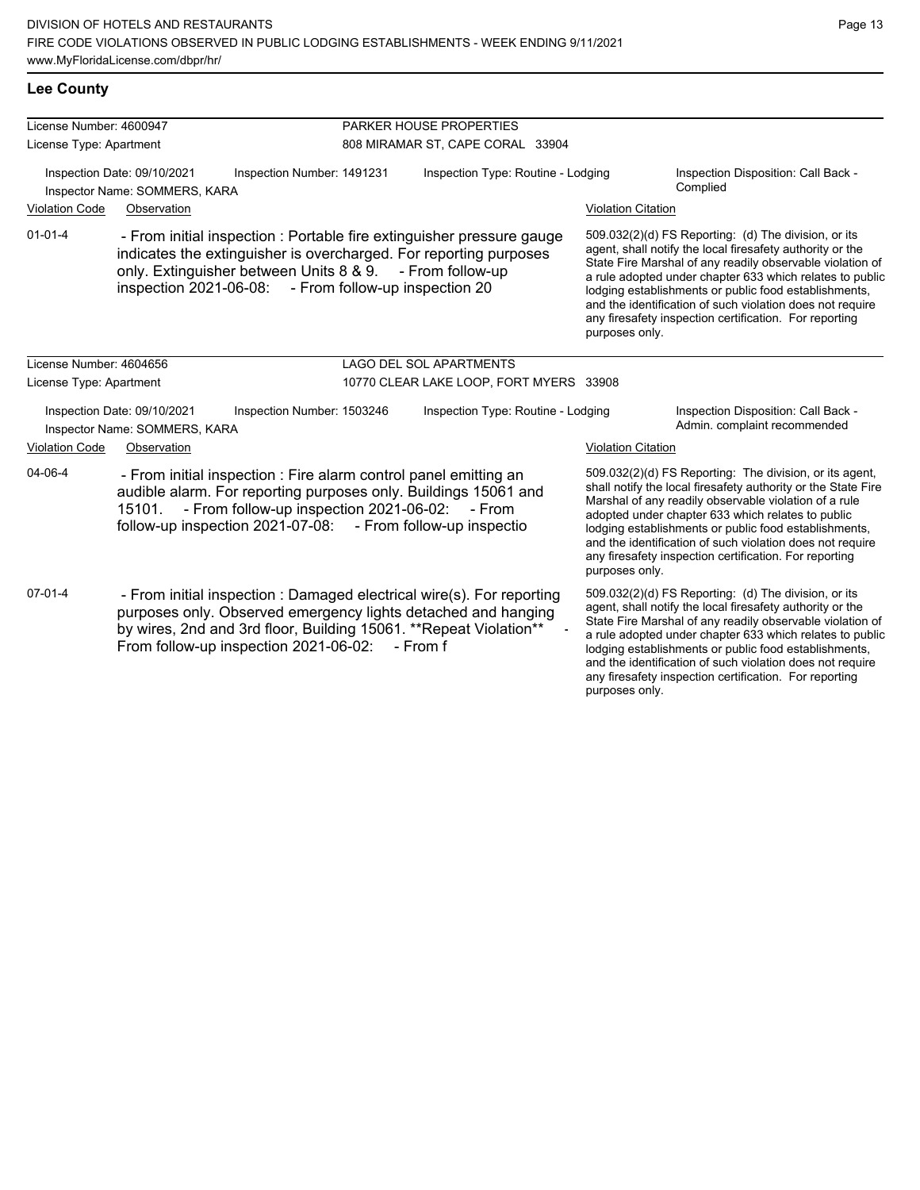| License Number: 4600947                                                                                                            |                                                                                                                                                                                                                                                                      |                            | PARKER HOUSE PROPERTIES                 |                           |                                                                                                                                                                                                                                                                                                                                                                                                                            |  |  |
|------------------------------------------------------------------------------------------------------------------------------------|----------------------------------------------------------------------------------------------------------------------------------------------------------------------------------------------------------------------------------------------------------------------|----------------------------|-----------------------------------------|---------------------------|----------------------------------------------------------------------------------------------------------------------------------------------------------------------------------------------------------------------------------------------------------------------------------------------------------------------------------------------------------------------------------------------------------------------------|--|--|
| License Type: Apartment                                                                                                            |                                                                                                                                                                                                                                                                      |                            | 808 MIRAMAR ST, CAPE CORAL 33904        |                           |                                                                                                                                                                                                                                                                                                                                                                                                                            |  |  |
| Inspection Date: 09/10/2021<br>Inspection Number: 1491231<br>Inspector Name: SOMMERS, KARA<br><b>Violation Code</b><br>Observation |                                                                                                                                                                                                                                                                      |                            | Inspection Type: Routine - Lodging      |                           | Inspection Disposition: Call Back -<br>Complied<br><b>Violation Citation</b>                                                                                                                                                                                                                                                                                                                                               |  |  |
| $01 - 01 - 4$                                                                                                                      | - From initial inspection : Portable fire extinguisher pressure gauge<br>indicates the extinguisher is overcharged. For reporting purposes<br>only. Extinguisher between Units 8 & 9.<br>inspection 2021-06-08: - From follow-up inspection 20                       |                            | - From follow-up                        | purposes only.            | 509.032(2)(d) FS Reporting: (d) The division, or its<br>agent, shall notify the local firesafety authority or the<br>State Fire Marshal of any readily observable violation of<br>a rule adopted under chapter 633 which relates to public<br>lodging establishments or public food establishments,<br>and the identification of such violation does not require<br>any firesafety inspection certification. For reporting |  |  |
| License Number: 4604656                                                                                                            |                                                                                                                                                                                                                                                                      |                            | <b>LAGO DEL SOL APARTMENTS</b>          |                           |                                                                                                                                                                                                                                                                                                                                                                                                                            |  |  |
| License Type: Apartment                                                                                                            |                                                                                                                                                                                                                                                                      |                            | 10770 CLEAR LAKE LOOP, FORT MYERS 33908 |                           |                                                                                                                                                                                                                                                                                                                                                                                                                            |  |  |
|                                                                                                                                    | Inspection Date: 09/10/2021<br>Inspector Name: SOMMERS, KARA                                                                                                                                                                                                         | Inspection Number: 1503246 | Inspection Type: Routine - Lodging      |                           | Inspection Disposition: Call Back -<br>Admin. complaint recommended                                                                                                                                                                                                                                                                                                                                                        |  |  |
| Violation Code                                                                                                                     | Observation                                                                                                                                                                                                                                                          |                            |                                         | <b>Violation Citation</b> |                                                                                                                                                                                                                                                                                                                                                                                                                            |  |  |
| 04-06-4                                                                                                                            | - From initial inspection : Fire alarm control panel emitting an<br>audible alarm. For reporting purposes only. Buildings 15061 and<br>- From follow-up inspection 2021-06-02:<br>15101.<br>- From<br>follow-up inspection 2021-07-08:<br>- From follow-up inspectio |                            |                                         | purposes only.            | 509.032(2)(d) FS Reporting: The division, or its agent,<br>shall notify the local firesafety authority or the State Fire<br>Marshal of any readily observable violation of a rule<br>adopted under chapter 633 which relates to public<br>lodging establishments or public food establishments,<br>and the identification of such violation does not require<br>any firesafety inspection certification. For reporting     |  |  |
| $07 - 01 - 4$                                                                                                                      | - From initial inspection : Damaged electrical wire(s). For reporting<br>purposes only. Observed emergency lights detached and hanging<br>by wires, 2nd and 3rd floor, Building 15061. ** Repeat Violation**<br>From follow-up inspection 2021-06-02:                |                            | - From f                                |                           | 509.032(2)(d) FS Reporting: (d) The division, or its<br>agent, shall notify the local firesafety authority or the<br>State Fire Marshal of any readily observable violation of<br>a rule adopted under chapter 633 which relates to public<br>lodging establishments or public food establishments,<br>and the identification of such violation does not require<br>any firesafety inspection certification. For reporting |  |  |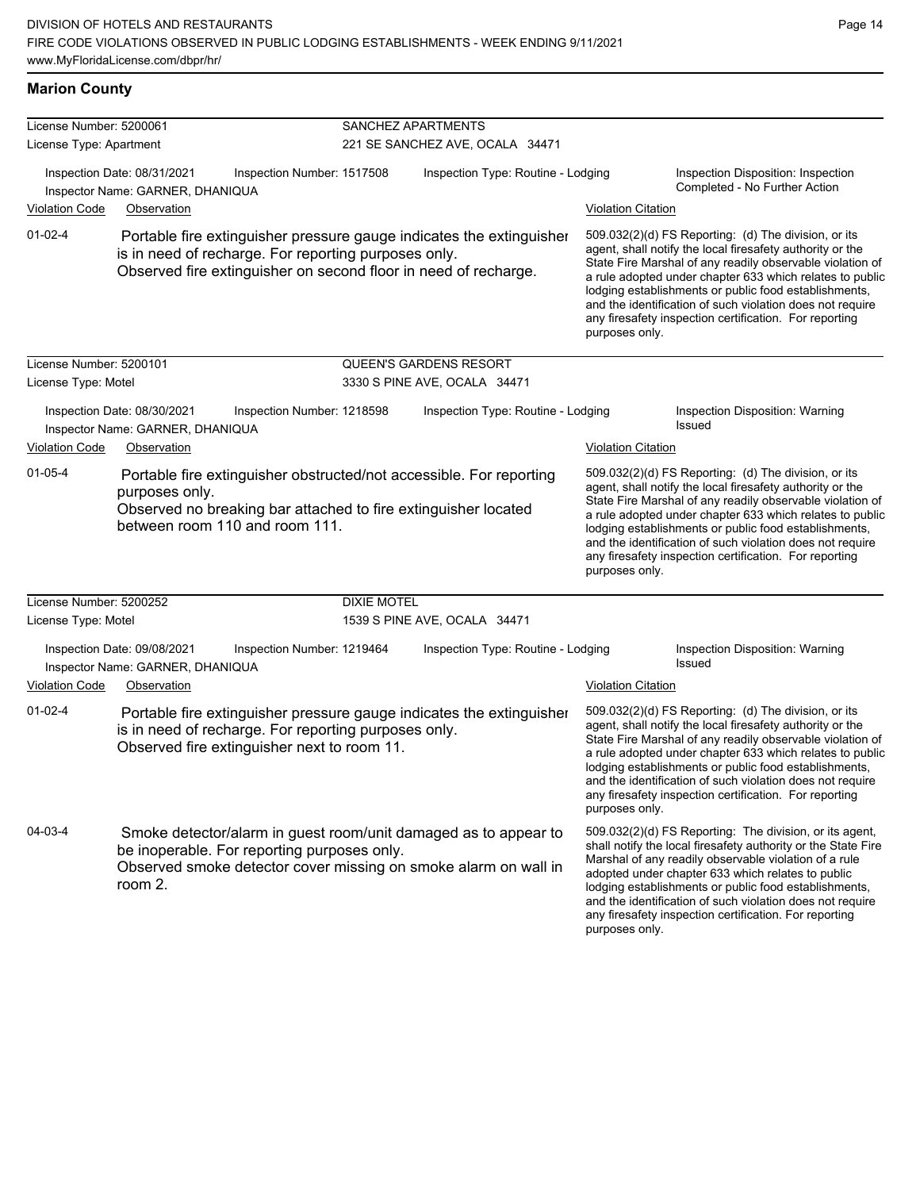| License Number: 5200061 |                                                                                                                                                                                                 |                            |                                                       |                                                                                                                                                                                                                                                                                                                                                                                                                                              |                                                                                                                                                                                                                                                                                                                                                                                                                            |  |  |
|-------------------------|-------------------------------------------------------------------------------------------------------------------------------------------------------------------------------------------------|----------------------------|-------------------------------------------------------|----------------------------------------------------------------------------------------------------------------------------------------------------------------------------------------------------------------------------------------------------------------------------------------------------------------------------------------------------------------------------------------------------------------------------------------------|----------------------------------------------------------------------------------------------------------------------------------------------------------------------------------------------------------------------------------------------------------------------------------------------------------------------------------------------------------------------------------------------------------------------------|--|--|
| License Type: Apartment |                                                                                                                                                                                                 |                            | SANCHEZ APARTMENTS<br>221 SE SANCHEZ AVE, OCALA 34471 |                                                                                                                                                                                                                                                                                                                                                                                                                                              |                                                                                                                                                                                                                                                                                                                                                                                                                            |  |  |
|                         | Inspection Date: 08/31/2021<br>Inspector Name: GARNER, DHANIQUA                                                                                                                                 | Inspection Number: 1517508 | Inspection Type: Routine - Lodging                    |                                                                                                                                                                                                                                                                                                                                                                                                                                              | Inspection Disposition: Inspection<br>Completed - No Further Action                                                                                                                                                                                                                                                                                                                                                        |  |  |
| <b>Violation Code</b>   | Observation                                                                                                                                                                                     |                            |                                                       | <b>Violation Citation</b>                                                                                                                                                                                                                                                                                                                                                                                                                    |                                                                                                                                                                                                                                                                                                                                                                                                                            |  |  |
| $01-02-4$               | Portable fire extinguisher pressure gauge indicates the extinguisher<br>is in need of recharge. For reporting purposes only.<br>Observed fire extinguisher on second floor in need of recharge. |                            |                                                       | purposes only.                                                                                                                                                                                                                                                                                                                                                                                                                               | 509.032(2)(d) FS Reporting: (d) The division, or its<br>agent, shall notify the local firesafety authority or the<br>State Fire Marshal of any readily observable violation of<br>a rule adopted under chapter 633 which relates to public<br>lodging establishments or public food establishments,<br>and the identification of such violation does not require<br>any firesafety inspection certification. For reporting |  |  |
| License Number: 5200101 |                                                                                                                                                                                                 |                            | <b>QUEEN'S GARDENS RESORT</b>                         |                                                                                                                                                                                                                                                                                                                                                                                                                                              |                                                                                                                                                                                                                                                                                                                                                                                                                            |  |  |
| License Type: Motel     |                                                                                                                                                                                                 |                            | 3330 S PINE AVE, OCALA 34471                          |                                                                                                                                                                                                                                                                                                                                                                                                                                              |                                                                                                                                                                                                                                                                                                                                                                                                                            |  |  |
|                         | Inspection Date: 08/30/2021<br>Inspector Name: GARNER, DHANIQUA                                                                                                                                 | Inspection Number: 1218598 | Inspection Type: Routine - Lodging                    |                                                                                                                                                                                                                                                                                                                                                                                                                                              | Inspection Disposition: Warning<br><b>Issued</b>                                                                                                                                                                                                                                                                                                                                                                           |  |  |
| <b>Violation Code</b>   | Observation                                                                                                                                                                                     |                            |                                                       | <b>Violation Citation</b>                                                                                                                                                                                                                                                                                                                                                                                                                    |                                                                                                                                                                                                                                                                                                                                                                                                                            |  |  |
| $01 - 05 - 4$           | Portable fire extinguisher obstructed/not accessible. For reporting<br>purposes only.<br>Observed no breaking bar attached to fire extinguisher located<br>between room 110 and room 111.       |                            |                                                       | 509.032(2)(d) FS Reporting: (d) The division, or its<br>agent, shall notify the local firesafety authority or the<br>State Fire Marshal of any readily observable violation of<br>a rule adopted under chapter 633 which relates to public<br>lodging establishments or public food establishments,<br>and the identification of such violation does not require<br>any firesafety inspection certification. For reporting<br>purposes only. |                                                                                                                                                                                                                                                                                                                                                                                                                            |  |  |
| License Number: 5200252 |                                                                                                                                                                                                 | <b>DIXIE MOTEL</b>         |                                                       |                                                                                                                                                                                                                                                                                                                                                                                                                                              |                                                                                                                                                                                                                                                                                                                                                                                                                            |  |  |
| License Type: Motel     |                                                                                                                                                                                                 |                            | 1539 S PINE AVE, OCALA 34471                          |                                                                                                                                                                                                                                                                                                                                                                                                                                              |                                                                                                                                                                                                                                                                                                                                                                                                                            |  |  |
| <b>Violation Code</b>   | Inspection Date: 09/08/2021<br>Inspector Name: GARNER, DHANIQUA<br>Observation                                                                                                                  | Inspection Number: 1219464 | Inspection Type: Routine - Lodging                    | <b>Violation Citation</b>                                                                                                                                                                                                                                                                                                                                                                                                                    | Inspection Disposition: Warning<br>Issued                                                                                                                                                                                                                                                                                                                                                                                  |  |  |
| $01 - 02 - 4$           | Portable fire extinguisher pressure gauge indicates the extinguisher<br>is in need of recharge. For reporting purposes only.<br>Observed fire extinguisher next to room 11.                     |                            |                                                       | purposes only.                                                                                                                                                                                                                                                                                                                                                                                                                               | 509.032(2)(d) FS Reporting: (d) The division, or its<br>agent, shall notify the local firesafety authority or the<br>State Fire Marshal of any readily observable violation of<br>a rule adopted under chapter 633 which relates to public<br>lodging establishments or public food establishments,<br>and the identification of such violation does not require<br>any firesafety inspection certification. For reporting |  |  |
| 04-03-4                 | Smoke detector/alarm in guest room/unit damaged as to appear to<br>be inoperable. For reporting purposes only.<br>Observed smoke detector cover missing on smoke alarm on wall in<br>room 2.    |                            |                                                       | purposes only.                                                                                                                                                                                                                                                                                                                                                                                                                               | 509.032(2)(d) FS Reporting: The division, or its agent,<br>shall notify the local firesafety authority or the State Fire<br>Marshal of any readily observable violation of a rule<br>adopted under chapter 633 which relates to public<br>lodging establishments or public food establishments,<br>and the identification of such violation does not require<br>any firesafety inspection certification. For reporting     |  |  |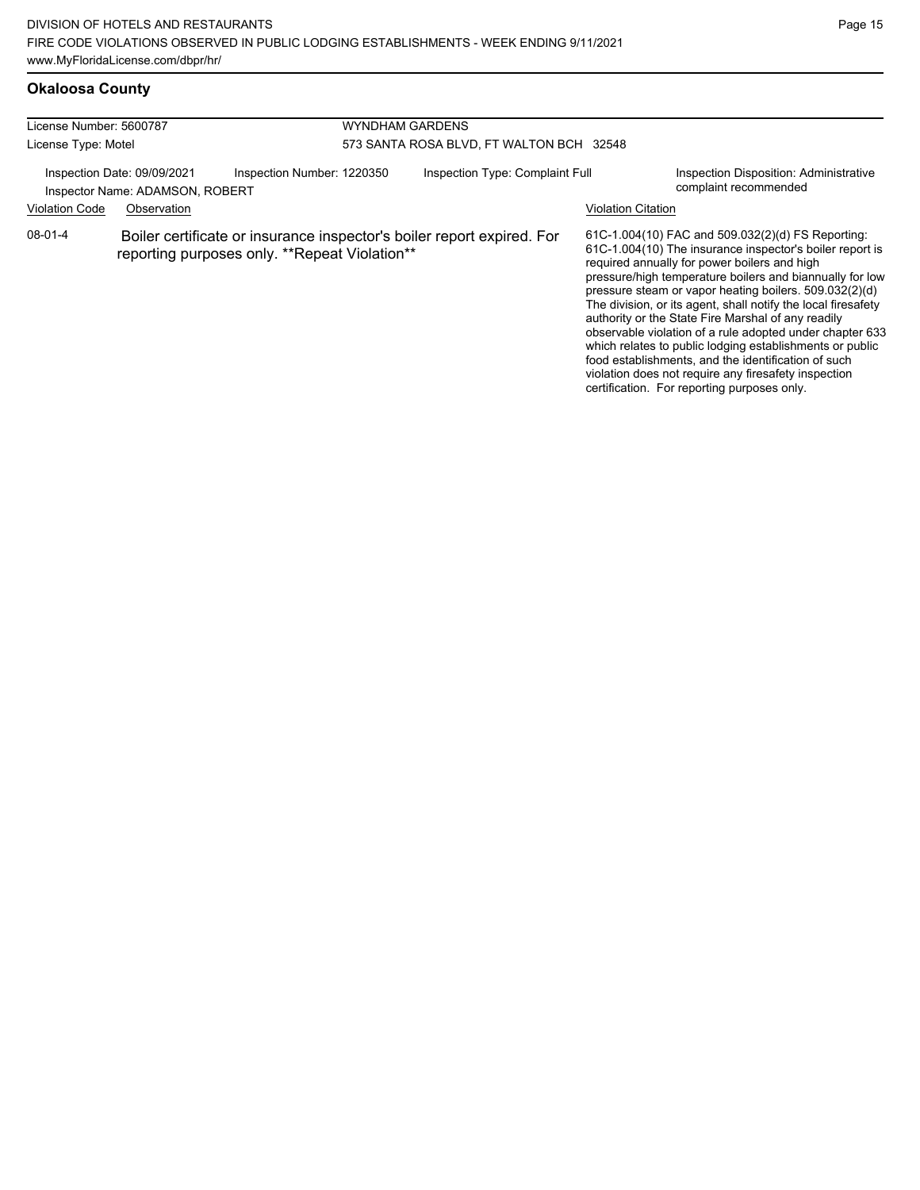### **Okaloosa County**

| License Number: 5600787                                                                      |             |                                               | WYNDHAM GARDENS                          |                                                                        |                           |                                                                                                                                                                                                                                                                                                                                                                                                                                                                                                                                                                                                                                                                                                  |  |
|----------------------------------------------------------------------------------------------|-------------|-----------------------------------------------|------------------------------------------|------------------------------------------------------------------------|---------------------------|--------------------------------------------------------------------------------------------------------------------------------------------------------------------------------------------------------------------------------------------------------------------------------------------------------------------------------------------------------------------------------------------------------------------------------------------------------------------------------------------------------------------------------------------------------------------------------------------------------------------------------------------------------------------------------------------------|--|
| License Type: Motel                                                                          |             |                                               | 573 SANTA ROSA BLVD, FT WALTON BCH 32548 |                                                                        |                           |                                                                                                                                                                                                                                                                                                                                                                                                                                                                                                                                                                                                                                                                                                  |  |
| Inspection Number: 1220350<br>Inspection Date: 09/09/2021<br>Inspector Name: ADAMSON, ROBERT |             |                                               |                                          | Inspection Type: Complaint Full<br>complaint recommended               |                           | Inspection Disposition: Administrative                                                                                                                                                                                                                                                                                                                                                                                                                                                                                                                                                                                                                                                           |  |
| <b>Violation Code</b>                                                                        | Observation |                                               |                                          |                                                                        | <b>Violation Citation</b> |                                                                                                                                                                                                                                                                                                                                                                                                                                                                                                                                                                                                                                                                                                  |  |
| $08-01-4$                                                                                    |             | reporting purposes only. **Repeat Violation** |                                          | Boiler certificate or insurance inspector's boiler report expired. For |                           | 61C-1.004(10) FAC and 509.032(2)(d) FS Reporting:<br>61C-1.004(10) The insurance inspector's boiler report is<br>required annually for power boilers and high<br>pressure/high temperature boilers and biannually for low<br>pressure steam or vapor heating boilers. 509.032(2)(d)<br>The division, or its agent, shall notify the local firesafety<br>authority or the State Fire Marshal of any readily<br>observable violation of a rule adopted under chapter 633<br>which relates to public lodging establishments or public<br>food establishments, and the identification of such<br>violation does not require any firesafety inspection<br>certification. For reporting purposes only. |  |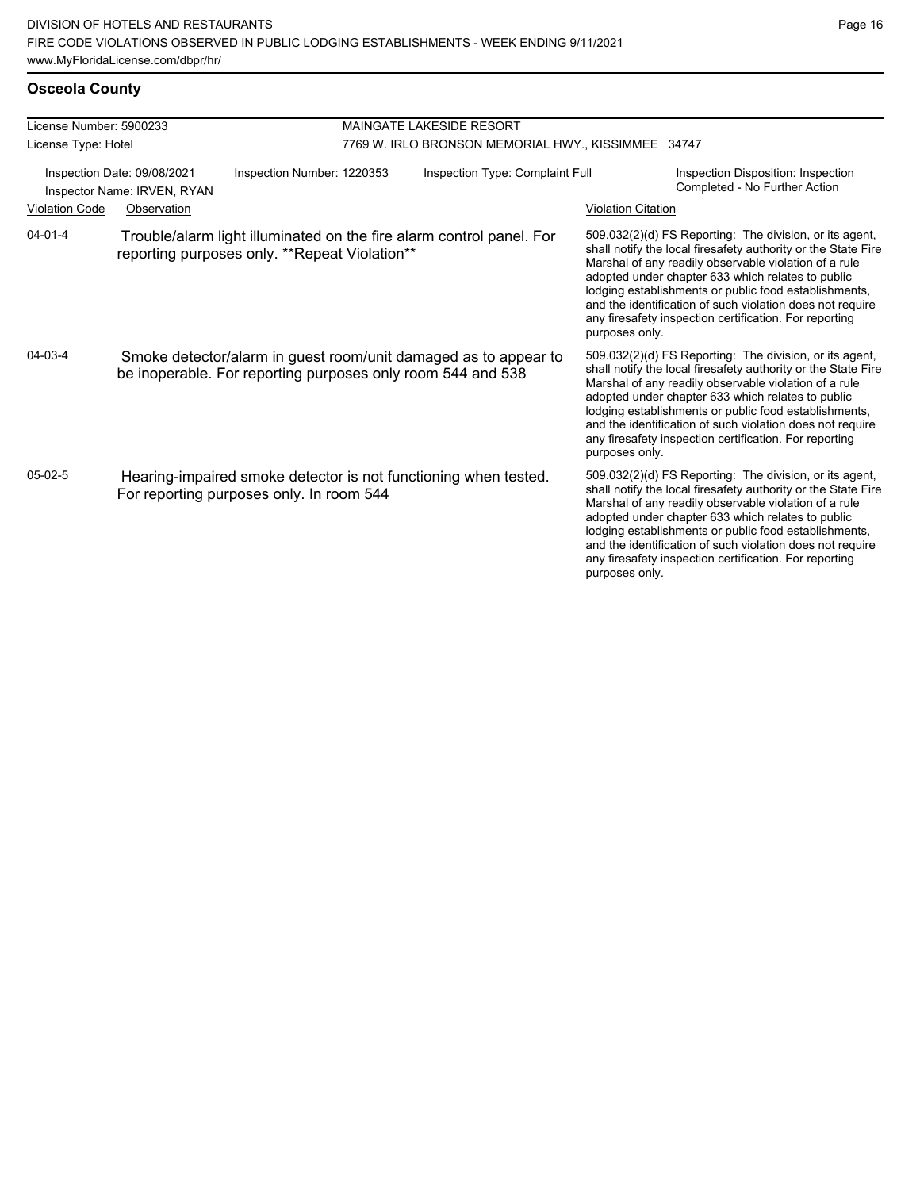| License Number: 5900233 |                                                            | <b>MAINGATE LAKESIDE RESORT</b>                             |                                                     |                                                                      |                           |                                                                                                                                                                                                                                                                                                                                                                                                                        |
|-------------------------|------------------------------------------------------------|-------------------------------------------------------------|-----------------------------------------------------|----------------------------------------------------------------------|---------------------------|------------------------------------------------------------------------------------------------------------------------------------------------------------------------------------------------------------------------------------------------------------------------------------------------------------------------------------------------------------------------------------------------------------------------|
| License Type: Hotel     |                                                            |                                                             | 7769 W. IRLO BRONSON MEMORIAL HWY., KISSIMMEE 34747 |                                                                      |                           |                                                                                                                                                                                                                                                                                                                                                                                                                        |
|                         | Inspection Date: 09/08/2021<br>Inspector Name: IRVEN, RYAN | Inspection Number: 1220353                                  |                                                     | Inspection Type: Complaint Full                                      |                           | Inspection Disposition: Inspection<br>Completed - No Further Action                                                                                                                                                                                                                                                                                                                                                    |
| <b>Violation Code</b>   | Observation                                                |                                                             |                                                     |                                                                      | <b>Violation Citation</b> |                                                                                                                                                                                                                                                                                                                                                                                                                        |
| $04 - 01 - 4$           |                                                            | reporting purposes only. **Repeat Violation**               |                                                     | Trouble/alarm light illuminated on the fire alarm control panel. For | purposes only.            | 509.032(2)(d) FS Reporting: The division, or its agent,<br>shall notify the local firesafety authority or the State Fire<br>Marshal of any readily observable violation of a rule<br>adopted under chapter 633 which relates to public<br>lodging establishments or public food establishments,<br>and the identification of such violation does not require<br>any firesafety inspection certification. For reporting |
| 04-03-4                 |                                                            | be inoperable. For reporting purposes only room 544 and 538 |                                                     | Smoke detector/alarm in guest room/unit damaged as to appear to      | purposes only.            | 509.032(2)(d) FS Reporting: The division, or its agent,<br>shall notify the local firesafety authority or the State Fire<br>Marshal of any readily observable violation of a rule<br>adopted under chapter 633 which relates to public<br>lodging establishments or public food establishments,<br>and the identification of such violation does not require<br>any firesafety inspection certification. For reporting |
| $05-02-5$               |                                                            | For reporting purposes only. In room 544                    |                                                     | Hearing-impaired smoke detector is not functioning when tested.      | purposes only.            | 509.032(2)(d) FS Reporting: The division, or its agent,<br>shall notify the local firesafety authority or the State Fire<br>Marshal of any readily observable violation of a rule<br>adopted under chapter 633 which relates to public<br>lodging establishments or public food establishments,<br>and the identification of such violation does not require<br>any firesafety inspection certification. For reporting |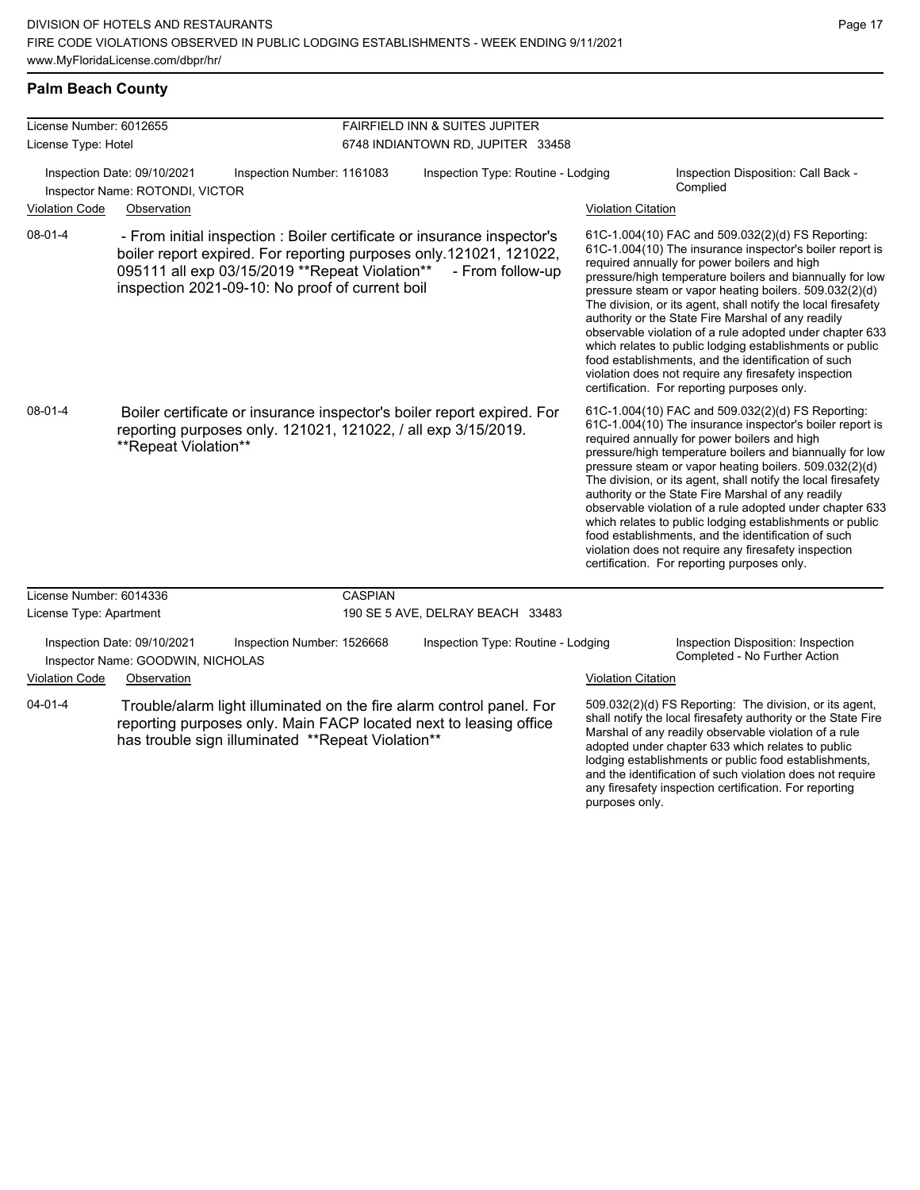any firesafety inspection certification. For reporting

purposes only.

### **Palm Beach County**

| License Number: 6012655<br>License Type: Hotel |                                                                  |                                                                                                                                                                                                                                                     | FAIRFIELD INN & SUITES JUPITER    |                                    |                           |                                                                                                                                                                                                                                                                                                                                                                                                                                                                                                                                                                                                                                                                                                  |  |
|------------------------------------------------|------------------------------------------------------------------|-----------------------------------------------------------------------------------------------------------------------------------------------------------------------------------------------------------------------------------------------------|-----------------------------------|------------------------------------|---------------------------|--------------------------------------------------------------------------------------------------------------------------------------------------------------------------------------------------------------------------------------------------------------------------------------------------------------------------------------------------------------------------------------------------------------------------------------------------------------------------------------------------------------------------------------------------------------------------------------------------------------------------------------------------------------------------------------------------|--|
|                                                |                                                                  |                                                                                                                                                                                                                                                     | 6748 INDIANTOWN RD, JUPITER 33458 |                                    |                           |                                                                                                                                                                                                                                                                                                                                                                                                                                                                                                                                                                                                                                                                                                  |  |
|                                                | Inspection Date: 09/10/2021<br>Inspector Name: ROTONDI, VICTOR   | Inspection Number: 1161083                                                                                                                                                                                                                          |                                   | Inspection Type: Routine - Lodging |                           | Inspection Disposition: Call Back -<br>Complied                                                                                                                                                                                                                                                                                                                                                                                                                                                                                                                                                                                                                                                  |  |
| <b>Violation Code</b>                          | Observation                                                      |                                                                                                                                                                                                                                                     |                                   |                                    | <b>Violation Citation</b> |                                                                                                                                                                                                                                                                                                                                                                                                                                                                                                                                                                                                                                                                                                  |  |
| $08 - 01 - 4$                                  |                                                                  | - From initial inspection : Boiler certificate or insurance inspector's<br>boiler report expired. For reporting purposes only.121021, 121022,<br>095111 all exp 03/15/2019 ** Repeat Violation**<br>inspection 2021-09-10: No proof of current boil |                                   | - From follow-up                   |                           | 61C-1.004(10) FAC and 509.032(2)(d) FS Reporting:<br>61C-1.004(10) The insurance inspector's boiler report is<br>required annually for power boilers and high<br>pressure/high temperature boilers and biannually for low<br>pressure steam or vapor heating boilers. 509.032(2)(d)<br>The division, or its agent, shall notify the local firesafety<br>authority or the State Fire Marshal of any readily<br>observable violation of a rule adopted under chapter 633<br>which relates to public lodging establishments or public<br>food establishments, and the identification of such<br>violation does not require any firesafety inspection<br>certification. For reporting purposes only. |  |
| $08-01-4$                                      | **Repeat Violation**                                             | Boiler certificate or insurance inspector's boiler report expired. For<br>reporting purposes only. 121021, 121022, / all exp 3/15/2019.                                                                                                             |                                   |                                    |                           | 61C-1.004(10) FAC and 509.032(2)(d) FS Reporting:<br>61C-1.004(10) The insurance inspector's boiler report is<br>required annually for power boilers and high<br>pressure/high temperature boilers and biannually for low<br>pressure steam or vapor heating boilers. 509.032(2)(d)<br>The division, or its agent, shall notify the local firesafety<br>authority or the State Fire Marshal of any readily<br>observable violation of a rule adopted under chapter 633<br>which relates to public lodging establishments or public<br>food establishments, and the identification of such<br>violation does not require any firesafety inspection<br>certification. For reporting purposes only. |  |
| License Number: 6014336                        |                                                                  |                                                                                                                                                                                                                                                     | <b>CASPIAN</b>                    |                                    |                           |                                                                                                                                                                                                                                                                                                                                                                                                                                                                                                                                                                                                                                                                                                  |  |
| License Type: Apartment                        |                                                                  |                                                                                                                                                                                                                                                     |                                   | 190 SE 5 AVE, DELRAY BEACH 33483   |                           |                                                                                                                                                                                                                                                                                                                                                                                                                                                                                                                                                                                                                                                                                                  |  |
|                                                | Inspection Date: 09/10/2021<br>Inspector Name: GOODWIN, NICHOLAS | Inspection Number: 1526668                                                                                                                                                                                                                          |                                   | Inspection Type: Routine - Lodging |                           | Inspection Disposition: Inspection<br>Completed - No Further Action                                                                                                                                                                                                                                                                                                                                                                                                                                                                                                                                                                                                                              |  |
| <b>Violation Code</b>                          | Observation                                                      |                                                                                                                                                                                                                                                     |                                   |                                    | <b>Violation Citation</b> |                                                                                                                                                                                                                                                                                                                                                                                                                                                                                                                                                                                                                                                                                                  |  |
| $04 - 01 - 4$                                  |                                                                  | Trouble/alarm light illuminated on the fire alarm control panel. For<br>reporting purposes only. Main FACP located next to leasing office<br>has trouble sign illuminated **Repeat Violation**                                                      |                                   |                                    |                           | 509.032(2)(d) FS Reporting: The division, or its agent,<br>shall notify the local firesafety authority or the State Fire<br>Marshal of any readily observable violation of a rule<br>adopted under chapter 633 which relates to public<br>lodging establishments or public food establishments,<br>and the identification of such violation does not require                                                                                                                                                                                                                                                                                                                                     |  |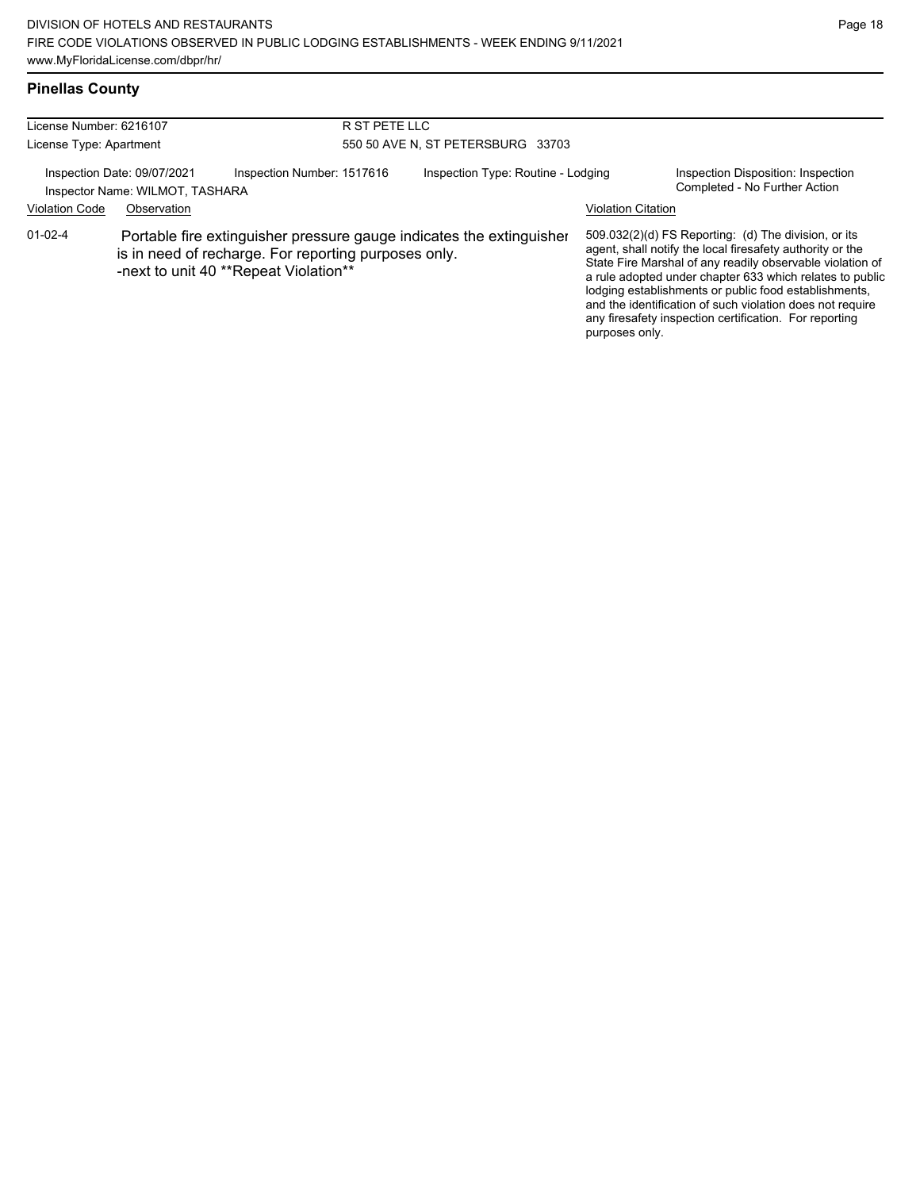### **Pinellas County**

| License Number: 6216107                                                                      |             | R ST PETE LLC                                                                                 |                                    |                                                                      |                                                                     |                                                                                                                                                                                                                                                                                                                                                                                                                            |  |
|----------------------------------------------------------------------------------------------|-------------|-----------------------------------------------------------------------------------------------|------------------------------------|----------------------------------------------------------------------|---------------------------------------------------------------------|----------------------------------------------------------------------------------------------------------------------------------------------------------------------------------------------------------------------------------------------------------------------------------------------------------------------------------------------------------------------------------------------------------------------------|--|
| License Type: Apartment                                                                      |             |                                                                                               | 550 50 AVE N, ST PETERSBURG 33703  |                                                                      |                                                                     |                                                                                                                                                                                                                                                                                                                                                                                                                            |  |
| Inspection Date: 09/07/2021<br>Inspection Number: 1517616<br>Inspector Name: WILMOT, TASHARA |             |                                                                                               | Inspection Type: Routine - Lodging |                                                                      | Inspection Disposition: Inspection<br>Completed - No Further Action |                                                                                                                                                                                                                                                                                                                                                                                                                            |  |
| <b>Violation Code</b>                                                                        | Observation |                                                                                               |                                    |                                                                      | <b>Violation Citation</b>                                           |                                                                                                                                                                                                                                                                                                                                                                                                                            |  |
| $01 - 02 - 4$                                                                                |             | is in need of recharge. For reporting purposes only.<br>-next to unit 40 **Repeat Violation** |                                    | Portable fire extinguisher pressure gauge indicates the extinguisher | purposes only.                                                      | 509.032(2)(d) FS Reporting: (d) The division, or its<br>agent, shall notify the local firesafety authority or the<br>State Fire Marshal of any readily observable violation of<br>a rule adopted under chapter 633 which relates to public<br>lodging establishments or public food establishments,<br>and the identification of such violation does not require<br>any firesafety inspection certification. For reporting |  |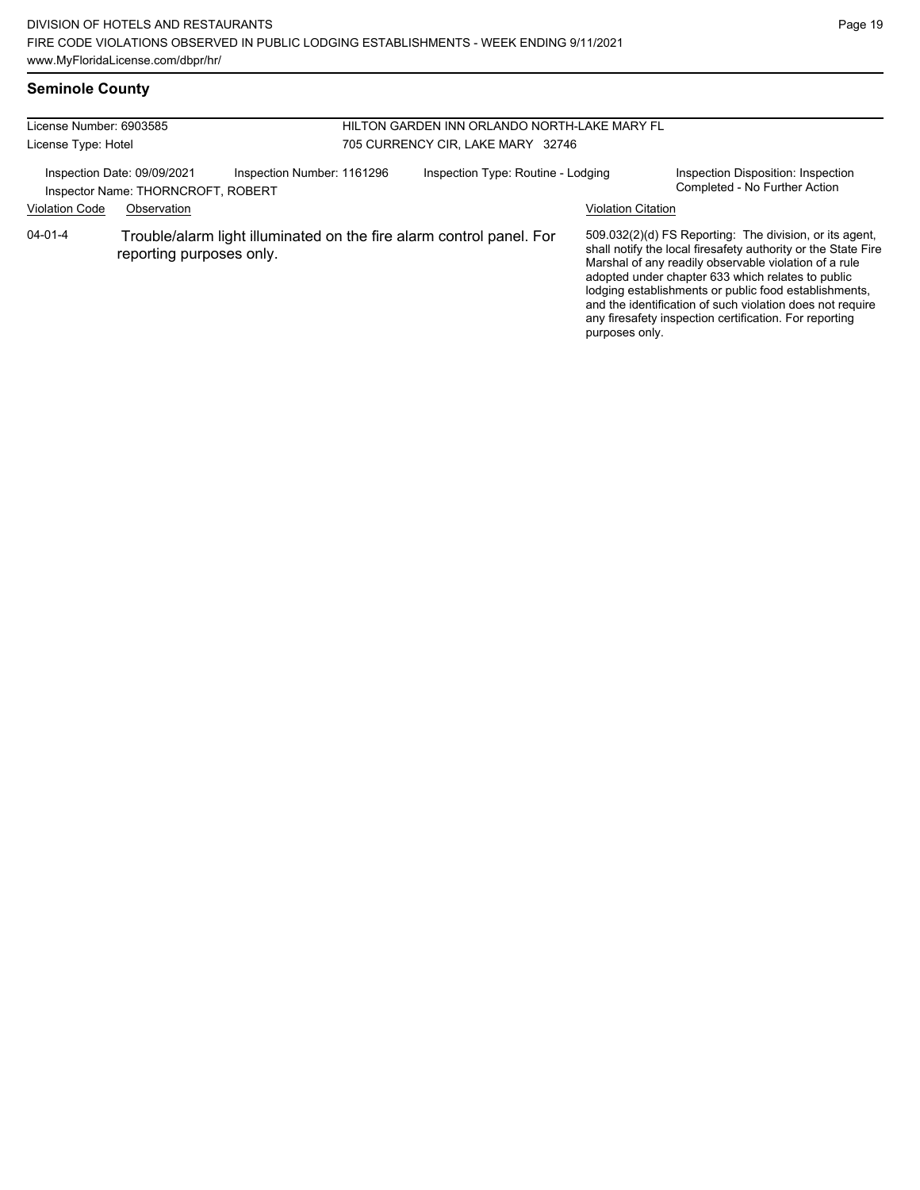## **Seminole County**

| License Number: 6903585 |                                                                   |                            |                                   | HILTON GARDEN INN ORLANDO NORTH-LAKE MARY FL                         |                           |                                                                                                                                                                                                                                                                                                                                                                                                                        |  |
|-------------------------|-------------------------------------------------------------------|----------------------------|-----------------------------------|----------------------------------------------------------------------|---------------------------|------------------------------------------------------------------------------------------------------------------------------------------------------------------------------------------------------------------------------------------------------------------------------------------------------------------------------------------------------------------------------------------------------------------------|--|
| License Type: Hotel     |                                                                   |                            | 705 CURRENCY CIR, LAKE MARY 32746 |                                                                      |                           |                                                                                                                                                                                                                                                                                                                                                                                                                        |  |
|                         | Inspection Date: 09/09/2021<br>Inspector Name: THORNCROFT, ROBERT | Inspection Number: 1161296 |                                   | Inspection Type: Routine - Lodging                                   |                           | Inspection Disposition: Inspection<br>Completed - No Further Action                                                                                                                                                                                                                                                                                                                                                    |  |
| <b>Violation Code</b>   | Observation                                                       |                            |                                   |                                                                      | <b>Violation Citation</b> |                                                                                                                                                                                                                                                                                                                                                                                                                        |  |
| $04 - 01 - 4$           | reporting purposes only.                                          |                            |                                   | Trouble/alarm light illuminated on the fire alarm control panel. For | purposes only.            | 509.032(2)(d) FS Reporting: The division, or its agent,<br>shall notify the local firesafety authority or the State Fire<br>Marshal of any readily observable violation of a rule<br>adopted under chapter 633 which relates to public<br>lodging establishments or public food establishments,<br>and the identification of such violation does not require<br>any firesafety inspection certification. For reporting |  |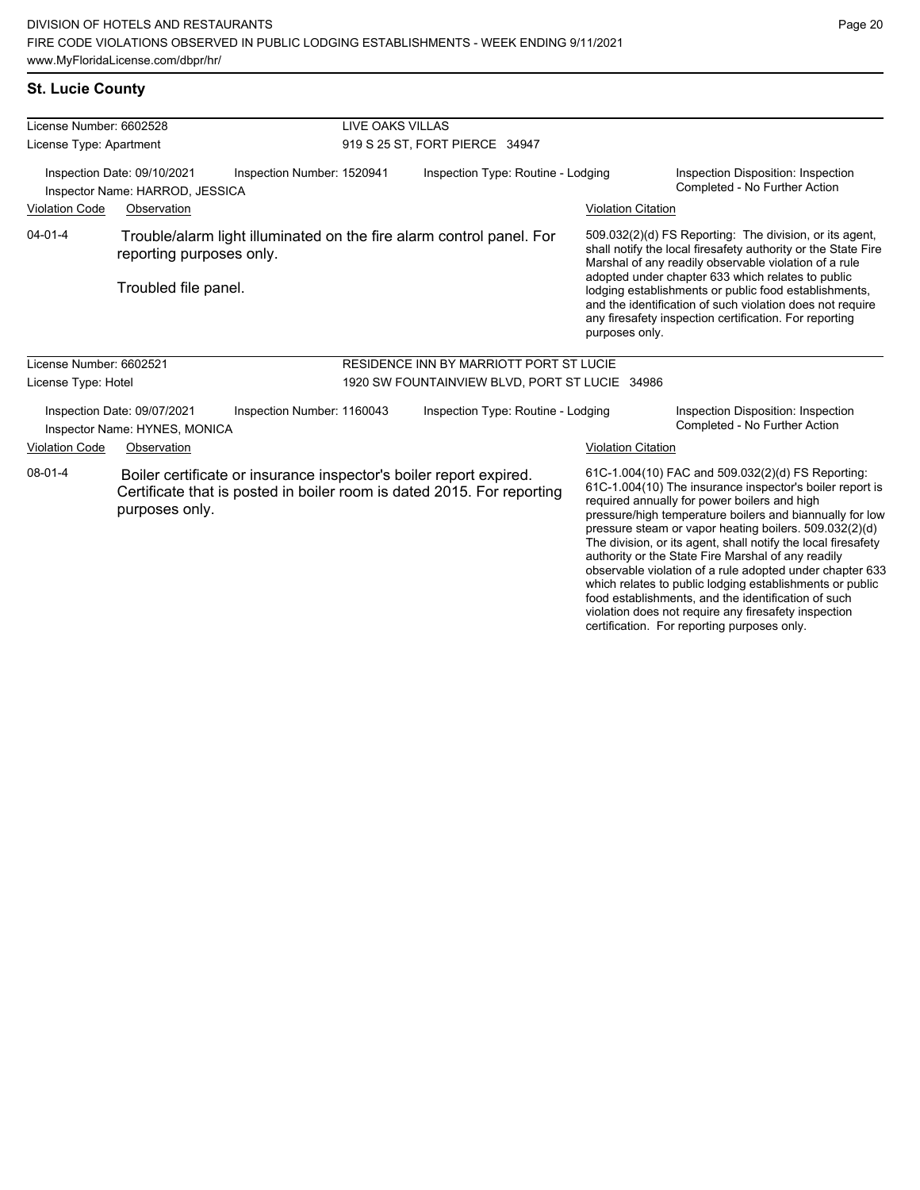violation does not require any firesafety inspection certification. For reporting purposes only.

Page 20

### **St. Lucie County**

| License Number: 6602528                                                                                                                                                   |                                                                | <b>LIVE OAKS VILLAS</b>                                              |                                                |                                                                                                                                                                                                                                                                                                                                                                                                                                          |                                                                                                                                                                                                                                                                                                                                                                                                                                                                                                                                                                                           |  |
|---------------------------------------------------------------------------------------------------------------------------------------------------------------------------|----------------------------------------------------------------|----------------------------------------------------------------------|------------------------------------------------|------------------------------------------------------------------------------------------------------------------------------------------------------------------------------------------------------------------------------------------------------------------------------------------------------------------------------------------------------------------------------------------------------------------------------------------|-------------------------------------------------------------------------------------------------------------------------------------------------------------------------------------------------------------------------------------------------------------------------------------------------------------------------------------------------------------------------------------------------------------------------------------------------------------------------------------------------------------------------------------------------------------------------------------------|--|
| License Type: Apartment                                                                                                                                                   |                                                                |                                                                      | 919 S 25 ST, FORT PIERCE 34947                 |                                                                                                                                                                                                                                                                                                                                                                                                                                          |                                                                                                                                                                                                                                                                                                                                                                                                                                                                                                                                                                                           |  |
|                                                                                                                                                                           | Inspection Date: 09/10/2021<br>Inspector Name: HARROD, JESSICA | Inspection Number: 1520941                                           | Inspection Type: Routine - Lodging             |                                                                                                                                                                                                                                                                                                                                                                                                                                          | Inspection Disposition: Inspection<br>Completed - No Further Action                                                                                                                                                                                                                                                                                                                                                                                                                                                                                                                       |  |
| <b>Violation Code</b>                                                                                                                                                     | Observation                                                    |                                                                      |                                                | <b>Violation Citation</b>                                                                                                                                                                                                                                                                                                                                                                                                                |                                                                                                                                                                                                                                                                                                                                                                                                                                                                                                                                                                                           |  |
| $04 - 01 - 4$                                                                                                                                                             | reporting purposes only.<br>Troubled file panel.               | Trouble/alarm light illuminated on the fire alarm control panel. For |                                                | 509.032(2)(d) FS Reporting: The division, or its agent,<br>shall notify the local firesafety authority or the State Fire<br>Marshal of any readily observable violation of a rule<br>adopted under chapter 633 which relates to public<br>lodging establishments or public food establishments,<br>and the identification of such violation does not require<br>any firesafety inspection certification. For reporting<br>purposes only. |                                                                                                                                                                                                                                                                                                                                                                                                                                                                                                                                                                                           |  |
| License Number: 6602521                                                                                                                                                   |                                                                |                                                                      | RESIDENCE INN BY MARRIOTT PORT ST LUCIE        |                                                                                                                                                                                                                                                                                                                                                                                                                                          |                                                                                                                                                                                                                                                                                                                                                                                                                                                                                                                                                                                           |  |
| License Type: Hotel                                                                                                                                                       |                                                                |                                                                      | 1920 SW FOUNTAINVIEW BLVD, PORT ST LUCIE 34986 |                                                                                                                                                                                                                                                                                                                                                                                                                                          |                                                                                                                                                                                                                                                                                                                                                                                                                                                                                                                                                                                           |  |
|                                                                                                                                                                           | Inspection Date: 09/07/2021<br>Inspector Name: HYNES, MONICA   | Inspection Number: 1160043                                           | Inspection Type: Routine - Lodging             |                                                                                                                                                                                                                                                                                                                                                                                                                                          | Inspection Disposition: Inspection<br>Completed - No Further Action                                                                                                                                                                                                                                                                                                                                                                                                                                                                                                                       |  |
| <b>Violation Code</b>                                                                                                                                                     | Observation                                                    |                                                                      |                                                | <b>Violation Citation</b>                                                                                                                                                                                                                                                                                                                                                                                                                |                                                                                                                                                                                                                                                                                                                                                                                                                                                                                                                                                                                           |  |
| 08-01-4<br>Boiler certificate or insurance inspector's boiler report expired.<br>Certificate that is posted in boiler room is dated 2015. For reporting<br>purposes only. |                                                                |                                                                      |                                                |                                                                                                                                                                                                                                                                                                                                                                                                                                          | 61C-1.004(10) FAC and 509.032(2)(d) FS Reporting:<br>61C-1.004(10) The insurance inspector's boiler report is<br>required annually for power boilers and high<br>pressure/high temperature boilers and biannually for low<br>pressure steam or vapor heating boilers. 509.032(2)(d)<br>The division, or its agent, shall notify the local firesafety<br>authority or the State Fire Marshal of any readily<br>observable violation of a rule adopted under chapter 633<br>which relates to public lodging establishments or public<br>food establishments, and the identification of such |  |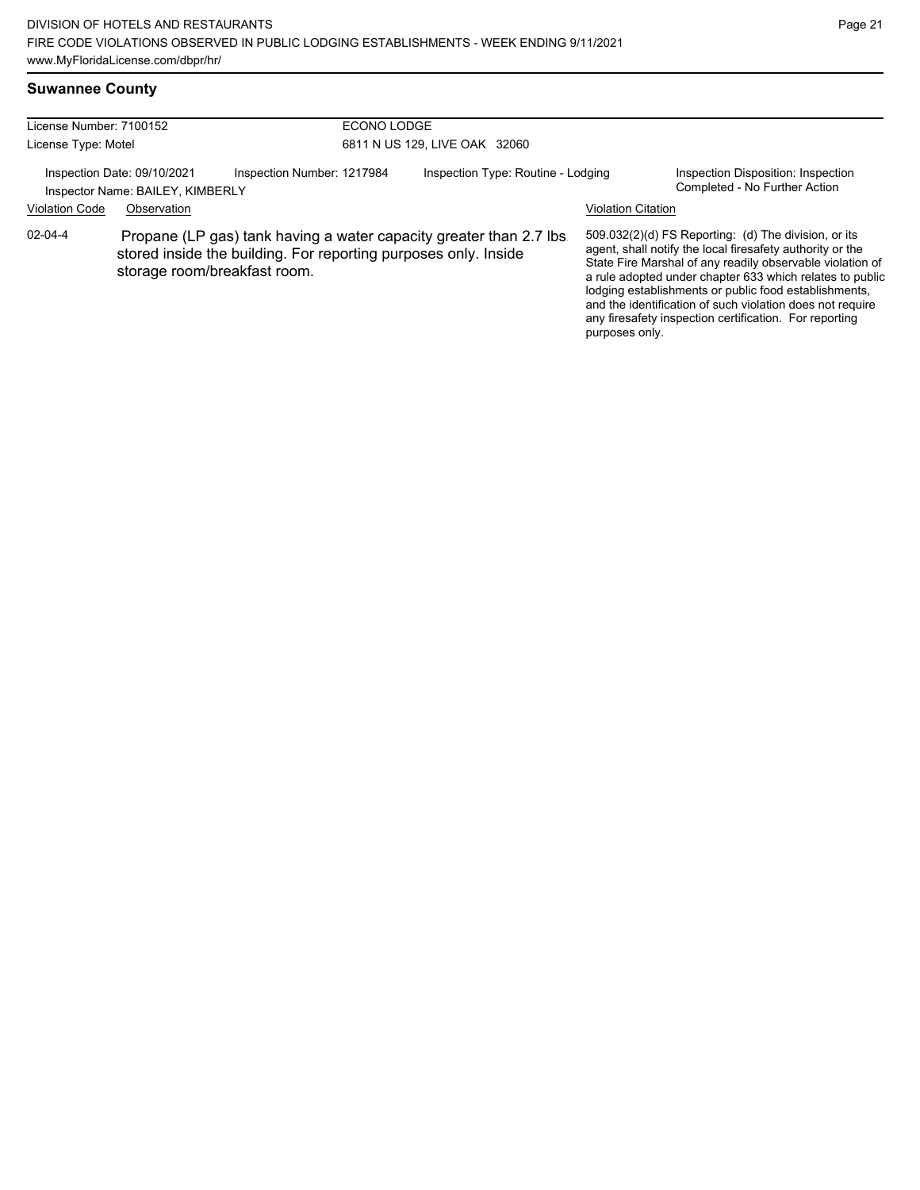# **Suwannee County**

| License Number: 7100152<br>License Type: Motel                                                                                        |                                                                                                                                                                        |  | ECONO LODGE<br>6811 N US 129, LIVE OAK 32060                    |                |                                                                                                                                                                                                                                                                                                                                                                                                                            |  |
|---------------------------------------------------------------------------------------------------------------------------------------|------------------------------------------------------------------------------------------------------------------------------------------------------------------------|--|-----------------------------------------------------------------|----------------|----------------------------------------------------------------------------------------------------------------------------------------------------------------------------------------------------------------------------------------------------------------------------------------------------------------------------------------------------------------------------------------------------------------------------|--|
| Inspection Date: 09/10/2021<br>Inspection Number: 1217984<br>Inspector Name: BAILEY, KIMBERLY<br><b>Violation Code</b><br>Observation |                                                                                                                                                                        |  | Inspection Type: Routine - Lodging<br><b>Violation Citation</b> |                | Inspection Disposition: Inspection<br>Completed - No Further Action                                                                                                                                                                                                                                                                                                                                                        |  |
| $02 - 04 - 4$                                                                                                                         | Propane (LP gas) tank having a water capacity greater than 2.7 lbs.<br>stored inside the building. For reporting purposes only. Inside<br>storage room/breakfast room. |  |                                                                 | purposes only. | 509.032(2)(d) FS Reporting: (d) The division, or its<br>agent, shall notify the local firesafety authority or the<br>State Fire Marshal of any readily observable violation of<br>a rule adopted under chapter 633 which relates to public<br>lodging establishments or public food establishments,<br>and the identification of such violation does not require<br>any firesafety inspection certification. For reporting |  |